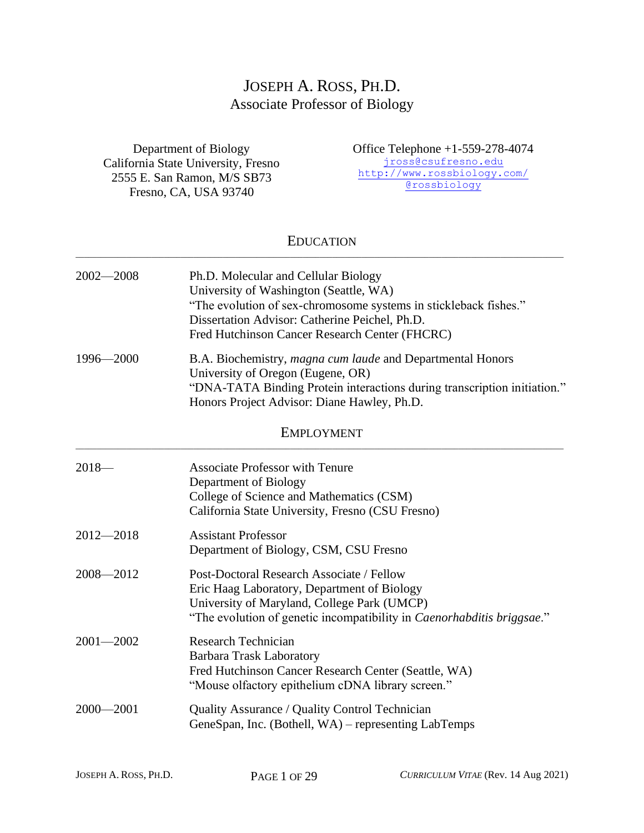# JOSEPH A. ROSS, PH.D. Associate Professor of Biology

Department of Biology California State University, Fresno 2555 E. San Ramon, M/S SB73 Fresno, CA, USA 93740

Office Telephone +1-559-278-4074 [jross@csufresno.edu](mailto:jross@csufresno.edu) <http://www.rossbiology.com/> @rossbiology

#### EDUCATION  $\_$  ,  $\_$  ,  $\_$  ,  $\_$  ,  $\_$  ,  $\_$  ,  $\_$  ,  $\_$  ,  $\_$  ,  $\_$  ,  $\_$  ,  $\_$  ,  $\_$  ,  $\_$  ,  $\_$  ,  $\_$  ,  $\_$  ,  $\_$  ,  $\_$  ,  $\_$  ,  $\_$  ,  $\_$  ,  $\_$  ,  $\_$  ,  $\_$  ,  $\_$  ,  $\_$  ,  $\_$  ,  $\_$  ,  $\_$  ,  $\_$  ,  $\_$  ,  $\_$  ,  $\_$  ,  $\_$  ,  $\_$  ,  $\_$  ,

| $2002 - 2008$ | Ph.D. Molecular and Cellular Biology<br>University of Washington (Seattle, WA)<br>"The evolution of sex-chromosome systems in stickleback fishes."<br>Dissertation Advisor: Catherine Peichel, Ph.D.<br>Fred Hutchinson Cancer Research Center (FHCRC) |
|---------------|--------------------------------------------------------------------------------------------------------------------------------------------------------------------------------------------------------------------------------------------------------|
| 1996-2000     | B.A. Biochemistry, magna cum laude and Departmental Honors<br>University of Oregon (Eugene, OR)<br>"DNA-TATA Binding Protein interactions during transcription initiation."<br>Honors Project Advisor: Diane Hawley, Ph.D.                             |
|               | <b>EMPLOYMENT</b>                                                                                                                                                                                                                                      |
| $2018-$       | <b>Associate Professor with Tenure</b><br>Department of Biology<br>College of Science and Mathematics (CSM)<br>California State University, Fresno (CSU Fresno)                                                                                        |
| $2012 - 2018$ | <b>Assistant Professor</b><br>Department of Biology, CSM, CSU Fresno                                                                                                                                                                                   |
| 2008-2012     | Post-Doctoral Research Associate / Fellow<br>Eric Haag Laboratory, Department of Biology<br>University of Maryland, College Park (UMCP)<br>"The evolution of genetic incompatibility in <i>Caenorhabditis briggsae</i> ."                              |
| $2001 - 2002$ | <b>Research Technician</b><br><b>Barbara Trask Laboratory</b><br>Fred Hutchinson Cancer Research Center (Seattle, WA)<br>"Mouse olfactory epithelium cDNA library screen."                                                                             |
| $2000 - 2001$ | Quality Assurance / Quality Control Technician<br>GeneSpan, Inc. (Bothell, WA) – representing LabTemps                                                                                                                                                 |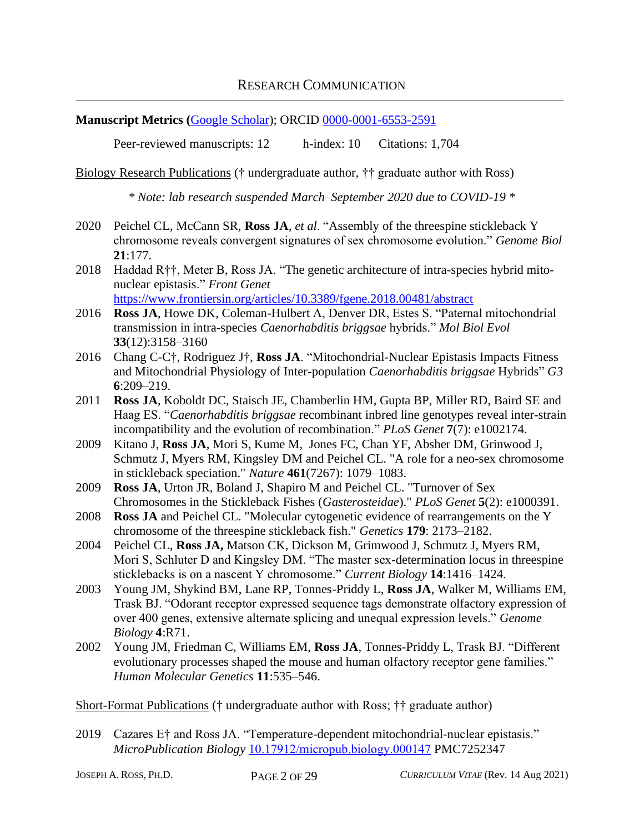#### **Manuscript Metrics (**[Google Scholar\)](https://scholar.google.com/citations?user=9s4A4kQAAAAJ&hl=en&oi=ao); ORCID [0000-0001-6553-2591](https://orcid.org/0000-0001-6553-2591)

Peer-reviewed manuscripts: 12 h-index: 10 Citations: 1,704

Biology Research Publications († undergraduate author, †† graduate author with Ross)

*\* Note: lab research suspended March–September 2020 due to COVID-19 \**

- 2020 Peichel CL, McCann SR, **Ross JA**, *et al*. "Assembly of the threespine stickleback Y chromosome reveals convergent signatures of sex chromosome evolution." *Genome Biol*  **21**:177.
- 2018 Haddad R††, Meter B, Ross JA. "The genetic architecture of intra-species hybrid mitonuclear epistasis." *Front Genet* <https://www.frontiersin.org/articles/10.3389/fgene.2018.00481/abstract>
- 2016 **Ross JA**, Howe DK, Coleman-Hulbert A, Denver DR, Estes S. "Paternal mitochondrial transmission in intra-species *Caenorhabditis briggsae* hybrids." *Mol Biol Evol* **33**(12):3158–3160
- 2016 Chang C-C†, Rodriguez J†, **Ross JA**. "Mitochondrial-Nuclear Epistasis Impacts Fitness and Mitochondrial Physiology of Inter-population *Caenorhabditis briggsae* Hybrids" *G3* **6**:209–219.
- 2011 **Ross JA**, Koboldt DC, Staisch JE, Chamberlin HM, Gupta BP, Miller RD, Baird SE and Haag ES. "*Caenorhabditis briggsae* recombinant inbred line genotypes reveal inter-strain incompatibility and the evolution of recombination." *PLoS Genet* **7**(7): e1002174.
- 2009 Kitano J, **Ross JA**, Mori S, Kume M, Jones FC, Chan YF, Absher DM, Grinwood J, Schmutz J, Myers RM, Kingsley DM and Peichel CL. "A role for a neo-sex chromosome in stickleback speciation." *Nature* **461**(7267): 1079–1083.
- 2009 **Ross JA**, Urton JR, Boland J, Shapiro M and Peichel CL. "Turnover of Sex Chromosomes in the Stickleback Fishes (*Gasterosteidae*)." *PLoS Genet* **5**(2): e1000391.
- 2008 **Ross JA** and Peichel CL. "Molecular cytogenetic evidence of rearrangements on the Y chromosome of the threespine stickleback fish." *Genetics* **179**: 2173–2182.
- 2004 Peichel CL, **Ross JA,** Matson CK, Dickson M, Grimwood J, Schmutz J, Myers RM, Mori S, Schluter D and Kingsley DM. "The master sex-determination locus in threespine sticklebacks is on a nascent Y chromosome." *Current Biology* **14**:1416–1424.
- 2003 Young JM, Shykind BM, Lane RP, Tonnes-Priddy L, **Ross JA**, Walker M, Williams EM, Trask BJ. "Odorant receptor expressed sequence tags demonstrate olfactory expression of over 400 genes, extensive alternate splicing and unequal expression levels." *Genome Biology* **4**:R71.
- 2002 Young JM, Friedman C, Williams EM, **Ross JA**, Tonnes-Priddy L, Trask BJ. "Different evolutionary processes shaped the mouse and human olfactory receptor gene families." *Human Molecular Genetics* **11**:535–546.

Short-Format Publications († undergraduate author with Ross; †† graduate author)

2019 Cazares E† and Ross JA. "Temperature-dependent mitochondrial-nuclear epistasis." *MicroPublication Biology* [10.17912/micropub.biology.000147](https://doi.org/10.17912/micropub.biology.000147) PMC7252347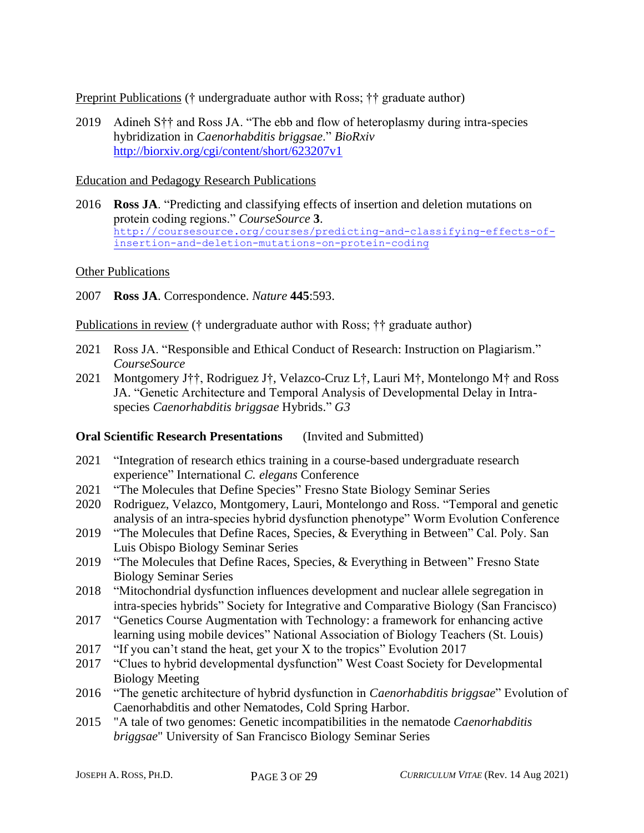Preprint Publications († undergraduate author with Ross; †† graduate author)

2019 Adineh S†† and Ross JA. "The ebb and flow of heteroplasmy during intra-species hybridization in *Caenorhabditis briggsae*." *BioRxiv* <http://biorxiv.org/cgi/content/short/623207v1>

#### Education and Pedagogy Research Publications

2016 **Ross JA**. "Predicting and classifying effects of insertion and deletion mutations on protein coding regions." *CourseSource* **3**. [http://coursesource.org/courses/predicting-and-classifying-effects-of](http://coursesource.org/courses/predicting-and-classifying-effects-of-insertion-and-deletion-mutations-on-protein-coding)[insertion-and-deletion-mutations-on-protein-coding](http://coursesource.org/courses/predicting-and-classifying-effects-of-insertion-and-deletion-mutations-on-protein-coding)

#### Other Publications

2007 **Ross JA**. Correspondence. *Nature* **445**:593.

Publications in review († undergraduate author with Ross; †† graduate author)

- 2021 Ross JA. "Responsible and Ethical Conduct of Research: Instruction on Plagiarism." *CourseSource*
- 2021 Montgomery J††, Rodriguez J†, Velazco-Cruz L†, Lauri M†, Montelongo M† and Ross JA. "Genetic Architecture and Temporal Analysis of Developmental Delay in Intraspecies *Caenorhabditis briggsae* Hybrids." *G3*

### **Oral Scientific Research Presentations** (Invited and Submitted)

- 2021 "Integration of research ethics training in a course-based undergraduate research experience" International *C. elegans* Conference
- 2021 "The Molecules that Define Species" Fresno State Biology Seminar Series
- 2020 Rodriguez, Velazco, Montgomery, Lauri, Montelongo and Ross. "Temporal and genetic analysis of an intra-species hybrid dysfunction phenotype" Worm Evolution Conference
- 2019 "The Molecules that Define Races, Species, & Everything in Between" Cal. Poly. San Luis Obispo Biology Seminar Series
- 2019 "The Molecules that Define Races, Species, & Everything in Between" Fresno State Biology Seminar Series
- 2018 "Mitochondrial dysfunction influences development and nuclear allele segregation in intra-species hybrids" Society for Integrative and Comparative Biology (San Francisco)
- 2017 "Genetics Course Augmentation with Technology: a framework for enhancing active learning using mobile devices" National Association of Biology Teachers (St. Louis)
- 2017 "If you can't stand the heat, get your X to the tropics" Evolution 2017
- 2017 "Clues to hybrid developmental dysfunction" West Coast Society for Developmental Biology Meeting
- 2016 "The genetic architecture of hybrid dysfunction in *Caenorhabditis briggsae*" Evolution of Caenorhabditis and other Nematodes, Cold Spring Harbor.
- 2015 "A tale of two genomes: Genetic incompatibilities in the nematode *Caenorhabditis briggsae*" University of San Francisco Biology Seminar Series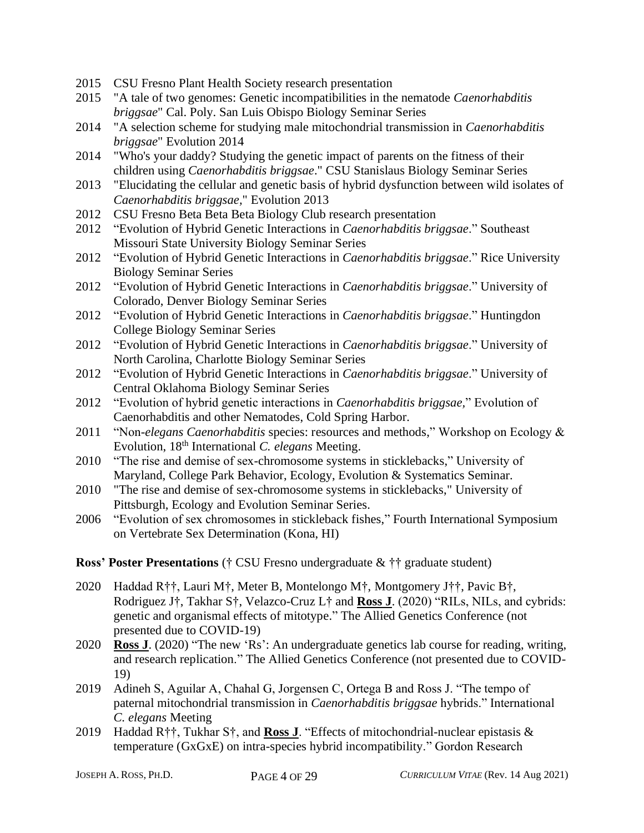- 2015 CSU Fresno Plant Health Society research presentation
- 2015 "A tale of two genomes: Genetic incompatibilities in the nematode *Caenorhabditis briggsae*" Cal. Poly. San Luis Obispo Biology Seminar Series
- 2014 "A selection scheme for studying male mitochondrial transmission in *Caenorhabditis briggsae*" Evolution 2014
- 2014 "Who's your daddy? Studying the genetic impact of parents on the fitness of their children using *Caenorhabditis briggsae*." CSU Stanislaus Biology Seminar Series
- 2013 "Elucidating the cellular and genetic basis of hybrid dysfunction between wild isolates of *Caenorhabditis briggsae,*" Evolution 2013
- 2012 CSU Fresno Beta Beta Beta Biology Club research presentation
- 2012 "Evolution of Hybrid Genetic Interactions in *Caenorhabditis briggsae*." Southeast Missouri State University Biology Seminar Series
- 2012 "Evolution of Hybrid Genetic Interactions in *Caenorhabditis briggsae*." Rice University Biology Seminar Series
- 2012 "Evolution of Hybrid Genetic Interactions in *Caenorhabditis briggsae*." University of Colorado, Denver Biology Seminar Series
- 2012 "Evolution of Hybrid Genetic Interactions in *Caenorhabditis briggsae*." Huntingdon College Biology Seminar Series
- 2012 "Evolution of Hybrid Genetic Interactions in *Caenorhabditis briggsae*." University of North Carolina, Charlotte Biology Seminar Series
- 2012 "Evolution of Hybrid Genetic Interactions in *Caenorhabditis briggsae*." University of Central Oklahoma Biology Seminar Series
- 2012 "Evolution of hybrid genetic interactions in *Caenorhabditis briggsae,*" Evolution of Caenorhabditis and other Nematodes, Cold Spring Harbor.
- 2011 "Non-*elegans Caenorhabditis* species: resources and methods," Workshop on Ecology & Evolution, 18th International *C. elegans* Meeting.
- 2010 "The rise and demise of sex-chromosome systems in sticklebacks," University of Maryland, College Park Behavior, Ecology, Evolution & Systematics Seminar.
- 2010 "The rise and demise of sex-chromosome systems in sticklebacks," University of Pittsburgh, Ecology and Evolution Seminar Series.
- 2006 "Evolution of sex chromosomes in stickleback fishes," Fourth International Symposium on Vertebrate Sex Determination (Kona, HI)

**Ross' Poster Presentations** († CSU Fresno undergraduate & †† graduate student)

- 2020 Haddad R††, Lauri M†, Meter B, Montelongo M†, Montgomery J††, Pavic B†, Rodriguez J†, Takhar S†, Velazco-Cruz L† and **Ross J**. (2020) "RILs, NILs, and cybrids: genetic and organismal effects of mitotype." The Allied Genetics Conference (not presented due to COVID-19)
- 2020 **Ross J**. (2020) "The new 'Rs': An undergraduate genetics lab course for reading, writing, and research replication." The Allied Genetics Conference (not presented due to COVID-19)
- 2019 Adineh S, Aguilar A, Chahal G, Jorgensen C, Ortega B and Ross J. "The tempo of paternal mitochondrial transmission in *Caenorhabditis briggsae* hybrids." International *C. elegans* Meeting
- 2019 Haddad R††, Tukhar S†, and **Ross J**. "Effects of mitochondrial-nuclear epistasis & temperature (GxGxE) on intra-species hybrid incompatibility." Gordon Research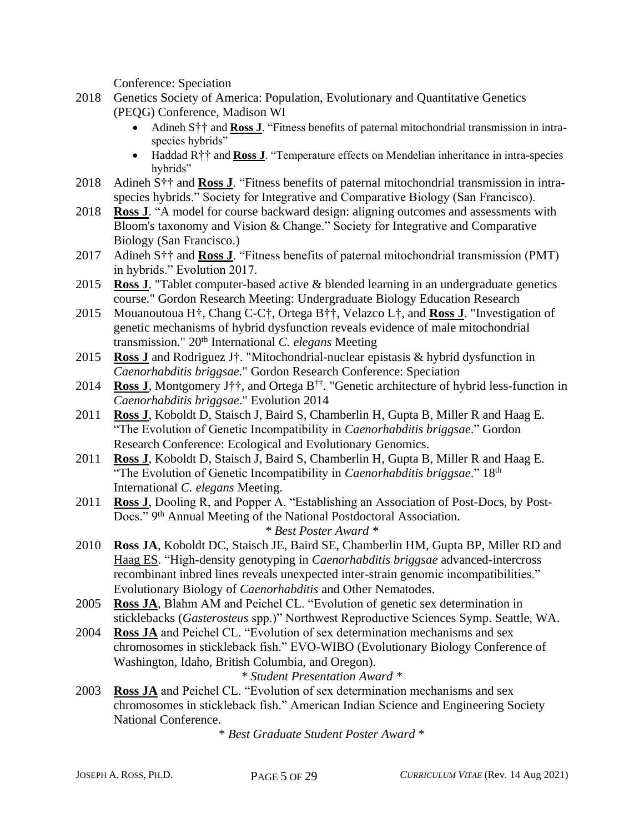Conference: Speciation

- 2018 Genetics Society of America: Population, Evolutionary and Quantitative Genetics (PEQG) Conference, Madison WI
	- Adineh S<sup>††</sup> and **Ross J**. "Fitness benefits of paternal mitochondrial transmission in intraspecies hybrids"
	- Haddad R†† and **Ross J**. "Temperature effects on Mendelian inheritance in intra-species hybrids"
- 2018 Adineh S†† and **Ross J**. "Fitness benefits of paternal mitochondrial transmission in intraspecies hybrids." Society for Integrative and Comparative Biology (San Francisco).
- 2018 **Ross J**. "A model for course backward design: aligning outcomes and assessments with Bloom's taxonomy and Vision & Change." Society for Integrative and Comparative Biology (San Francisco.)
- 2017 Adineh S†† and **Ross J**. "Fitness benefits of paternal mitochondrial transmission (PMT) in hybrids." Evolution 2017.
- 2015 **Ross J**. "Tablet computer-based active & blended learning in an undergraduate genetics course." Gordon Research Meeting: Undergraduate Biology Education Research
- 2015 Mouanoutoua H†, Chang C-C†, Ortega B††, Velazco L†, and **Ross J**. "Investigation of genetic mechanisms of hybrid dysfunction reveals evidence of male mitochondrial transmission." 20th International *C. elegans* Meeting
- 2015 **Ross J** and Rodriguez J†. "Mitochondrial-nuclear epistasis & hybrid dysfunction in *Caenorhabditis briggsae.*" Gordon Research Conference: Speciation
- 2014 **Ross J**, Montgomery J††, and Ortega B†† . "Genetic architecture of hybrid less-function in *Caenorhabditis briggsae.*" Evolution 2014
- 2011 **Ross J**, Koboldt D, Staisch J, Baird S, Chamberlin H, Gupta B, Miller R and Haag E. "The Evolution of Genetic Incompatibility in *Caenorhabditis briggsae*." Gordon Research Conference: Ecological and Evolutionary Genomics.
- 2011 **Ross J**, Koboldt D, Staisch J, Baird S, Chamberlin H, Gupta B, Miller R and Haag E. "The Evolution of Genetic Incompatibility in *Caenorhabditis briggsae*." 18th International *C. elegans* Meeting.
- 2011 **Ross J**, Dooling R, and Popper A. "Establishing an Association of Post-Docs, by Post-Docs." 9<sup>th</sup> Annual Meeting of the National Postdoctoral Association. *\* Best Poster Award \**
- 2010 **Ross JA**, Koboldt DC, Staisch JE, Baird SE, Chamberlin HM, Gupta BP, Miller RD and Haag ES. "High-density genotyping in *Caenorhabditis briggsae* advanced-intercross recombinant inbred lines reveals unexpected inter-strain genomic incompatibilities." Evolutionary Biology of *Caenorhabditis* and Other Nematodes.
- 2005 **Ross JA**, Blahm AM and Peichel CL. "Evolution of genetic sex determination in sticklebacks (*Gasterosteus* spp.)" Northwest Reproductive Sciences Symp. Seattle, WA.
- 2004 **Ross JA** and Peichel CL. "Evolution of sex determination mechanisms and sex chromosomes in stickleback fish." EVO-WIBO (Evolutionary Biology Conference of Washington, Idaho, British Columbia, and Oregon).
	- *\* Student Presentation Award \**
- 2003 **Ross JA** and Peichel CL. "Evolution of sex determination mechanisms and sex chromosomes in stickleback fish." American Indian Science and Engineering Society National Conference.

\* *Best Graduate Student Poster Award* \*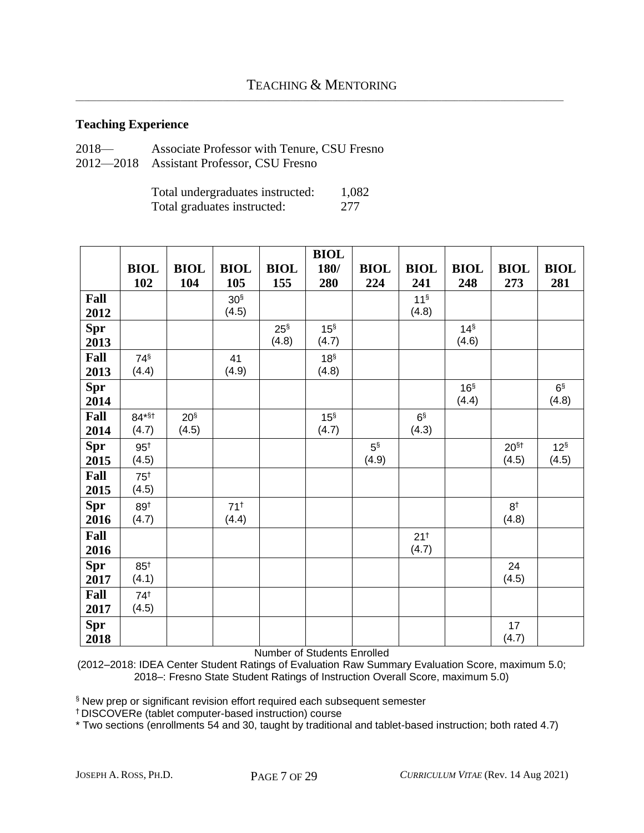### **Teaching Experience**

| $2018-$ | Associate Professor with Tenure, CSU Fresno |
|---------|---------------------------------------------|
|         | 2012—2018 Assistant Professor, CSU Fresno   |

Total undergraduates instructed: 1,082 Total graduates instructed: 277

|            |                 |                 |                 |             | <b>BIOL</b>     |             |                 |                 |                  |                |
|------------|-----------------|-----------------|-----------------|-------------|-----------------|-------------|-----------------|-----------------|------------------|----------------|
|            | <b>BIOL</b>     | <b>BIOL</b>     | <b>BIOL</b>     | <b>BIOL</b> | 180/            | <b>BIOL</b> | <b>BIOL</b>     | <b>BIOL</b>     | <b>BIOL</b>      | <b>BIOL</b>    |
|            | 102             | 104             | 105             | 155         | 280             | 224         | 241             | 248             | 273              | 281            |
| Fall       |                 |                 | 30 <sup>§</sup> |             |                 |             | 11 <sup>§</sup> |                 |                  |                |
| 2012       |                 |                 | (4.5)           |             |                 |             | (4.8)           |                 |                  |                |
| <b>Spr</b> |                 |                 |                 | $25^{\S}$   | 15 <sup>§</sup> |             |                 | 14 <sup>§</sup> |                  |                |
| 2013       |                 |                 |                 | (4.8)       | (4.7)           |             |                 | (4.6)           |                  |                |
| Fall       | 74 <sup>§</sup> |                 | 41              |             | 18 <sup>§</sup> |             |                 |                 |                  |                |
| 2013       | (4.4)           |                 | (4.9)           |             | (4.8)           |             |                 |                 |                  |                |
| <b>Spr</b> |                 |                 |                 |             |                 |             |                 | 16 <sup>§</sup> |                  | 6 <sup>§</sup> |
| 2014       |                 |                 |                 |             |                 |             |                 | (4.4)           |                  | (4.8)          |
| Fall       | $84*$ \$t       | 20 <sup>§</sup> |                 |             | 15 <sup>§</sup> |             | 6 <sup>§</sup>  |                 |                  |                |
| 2014       | (4.7)           | (4.5)           |                 |             | (4.7)           |             | (4.3)           |                 |                  |                |
| <b>Spr</b> | $95^{\dagger}$  |                 |                 |             |                 | $5^{\S}$    |                 |                 | 20 <sup>§†</sup> | $12^{\S}$      |
| 2015       | (4.5)           |                 |                 |             |                 | (4.9)       |                 |                 | (4.5)            | (4.5)          |
| Fall       | 75 <sup>†</sup> |                 |                 |             |                 |             |                 |                 |                  |                |
| 2015       | (4.5)           |                 |                 |             |                 |             |                 |                 |                  |                |
| <b>Spr</b> | 89 <sup>†</sup> |                 | $71^{+}$        |             |                 |             |                 |                 | 8 <sup>†</sup>   |                |
| 2016       | (4.7)           |                 | (4.4)           |             |                 |             |                 |                 | (4.8)            |                |
| Fall       |                 |                 |                 |             |                 |             | $21^{+}$        |                 |                  |                |
| 2016       |                 |                 |                 |             |                 |             | (4.7)           |                 |                  |                |
| <b>Spr</b> | $85^{\dagger}$  |                 |                 |             |                 |             |                 |                 | 24               |                |
| 2017       | (4.1)           |                 |                 |             |                 |             |                 |                 | (4.5)            |                |
| Fall       | 74 <sup>†</sup> |                 |                 |             |                 |             |                 |                 |                  |                |
| 2017       | (4.5)           |                 |                 |             |                 |             |                 |                 |                  |                |
| <b>Spr</b> |                 |                 |                 |             |                 |             |                 |                 | 17               |                |
| 2018       |                 |                 |                 |             |                 |             |                 |                 | (4.7)            |                |

Number of Students Enrolled

(2012–2018: IDEA Center Student Ratings of Evaluation Raw Summary Evaluation Score, maximum 5.0; 2018–: Fresno State Student Ratings of Instruction Overall Score, maximum 5.0)

§ New prep or significant revision effort required each subsequent semester

† DISCOVERe (tablet computer-based instruction) course

\* Two sections (enrollments 54 and 30, taught by traditional and tablet-based instruction; both rated 4.7)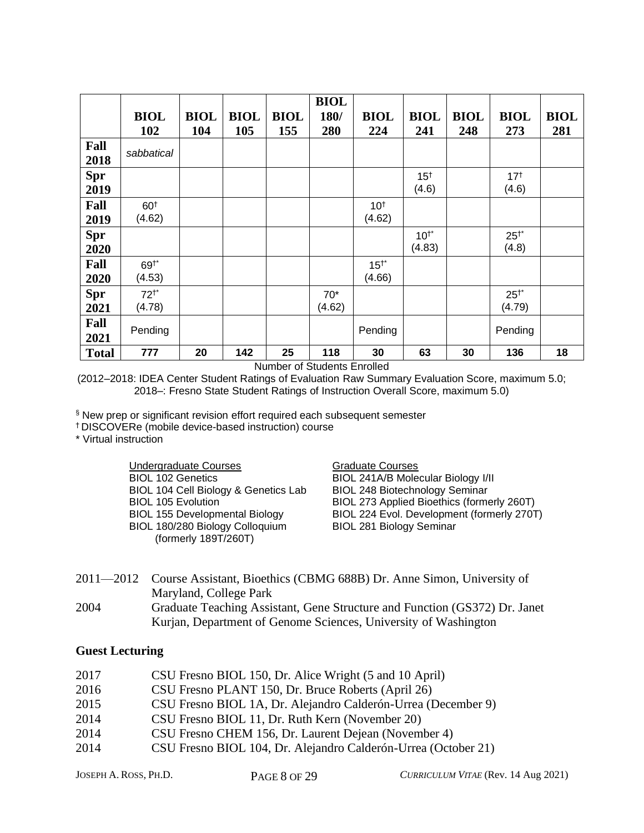|              | <b>BIOL</b>     | <b>BIOL</b> | <b>BIOL</b> | <b>BIOL</b> | <b>BIOL</b><br>180/ | <b>BIOL</b>     | <b>BIOL</b>     | <b>BIOL</b> | <b>BIOL</b> | <b>BIOL</b> |
|--------------|-----------------|-------------|-------------|-------------|---------------------|-----------------|-----------------|-------------|-------------|-------------|
|              | 102             | 104         | 105         | 155         | 280                 | 224             | 241             | 248         | 273         | 281         |
| Fall<br>2018 | sabbatical      |             |             |             |                     |                 |                 |             |             |             |
| <b>Spr</b>   |                 |             |             |             |                     |                 | 15 <sup>†</sup> |             | $17^{+}$    |             |
| 2019         |                 |             |             |             |                     |                 | (4.6)           |             | (4.6)       |             |
| Fall         | 60 <sup>†</sup> |             |             |             |                     | 10 <sup>†</sup> |                 |             |             |             |
| 2019         | (4.62)          |             |             |             |                     | (4.62)          |                 |             |             |             |
| <b>Spr</b>   |                 |             |             |             |                     |                 | $10^{1*}$       |             | $25^{+*}$   |             |
| 2020         |                 |             |             |             |                     |                 | (4.83)          |             | (4.8)       |             |
| Fall         | $69^{+*}$       |             |             |             |                     | $15^{+*}$       |                 |             |             |             |
| 2020         | (4.53)          |             |             |             |                     | (4.66)          |                 |             |             |             |
| <b>Spr</b>   | $72^{+*}$       |             |             |             | $70*$               |                 |                 |             | $25^{+*}$   |             |
| 2021         | (4.78)          |             |             |             | (4.62)              |                 |                 |             | (4.79)      |             |
| Fall         |                 |             |             |             |                     |                 |                 |             |             |             |
| 2021         | Pending         |             |             |             |                     | Pending         |                 |             | Pending     |             |
| <b>Total</b> | 777             | 20          | 142         | 25          | 118                 | 30              | 63              | 30          | 136         | 18          |

Number of Students Enrolled

(2012–2018: IDEA Center Student Ratings of Evaluation Raw Summary Evaluation Score, maximum 5.0; 2018–: Fresno State Student Ratings of Instruction Overall Score, maximum 5.0)

§ New prep or significant revision effort required each subsequent semester

† DISCOVERe (mobile device-based instruction) course

\* Virtual instruction

Undergraduate Courses Graduate Courses BIOL 102 Genetics BIOL 104 Cell Biology & Genetics Lab BIOL 105 Evolution BIOL 155 Developmental Biology BIOL 180/280 Biology Colloquium (formerly 189T/260T)

BIOL 241A/B Molecular Biology I/II BIOL 248 Biotechnology Seminar BIOL 273 Applied Bioethics (formerly 260T) BIOL 224 Evol. Development (formerly 270T) BIOL 281 Biology Seminar

2011—2012 Course Assistant, Bioethics (CBMG 688B) Dr. Anne Simon, University of Maryland, College Park 2004 Graduate Teaching Assistant, Gene Structure and Function (GS372) Dr. Janet Kurjan, Department of Genome Sciences, University of Washington

#### **Guest Lecturing**

| 2017 | CSU Fresno BIOL 150, Dr. Alice Wright (5 and 10 April)         |
|------|----------------------------------------------------------------|
| 2016 | CSU Fresno PLANT 150, Dr. Bruce Roberts (April 26)             |
| 2015 | CSU Fresno BIOL 1A, Dr. Alejandro Calderón-Urrea (December 9)  |
| 2014 | CSU Fresno BIOL 11, Dr. Ruth Kern (November 20)                |
| 2014 | CSU Fresno CHEM 156, Dr. Laurent Dejean (November 4)           |
| 2014 | CSU Fresno BIOL 104, Dr. Alejandro Calderón-Urrea (October 21) |
|      |                                                                |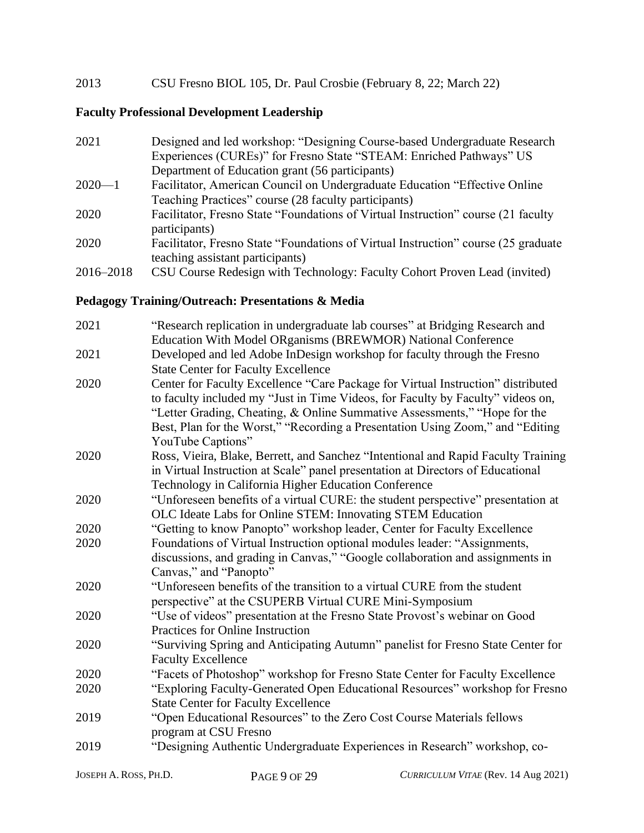### 2013 CSU Fresno BIOL 105, Dr. Paul Crosbie (February 8, 22; March 22)

### **Faculty Professional Development Leadership**

| 2021       | Designed and led workshop: "Designing Course-based Undergraduate Research          |
|------------|------------------------------------------------------------------------------------|
|            | Experiences (CUREs)" for Fresno State "STEAM: Enriched Pathways" US                |
|            | Department of Education grant (56 participants)                                    |
| $2020 - 1$ | Facilitator, American Council on Undergraduate Education "Effective Online"        |
|            | Teaching Practices" course (28 faculty participants)                               |
| 2020       | Facilitator, Fresno State "Foundations of Virtual Instruction" course (21 faculty  |
|            | participants)                                                                      |
| 2020       | Facilitator, Fresno State "Foundations of Virtual Instruction" course (25 graduate |
|            | teaching assistant participants)                                                   |
| 2016–2018  | CSU Course Redesign with Technology: Faculty Cohort Proven Lead (invited)          |

#### **Pedagogy Training/Outreach: Presentations & Media**

| 2021 | "Research replication in undergraduate lab courses" at Bridging Research and      |
|------|-----------------------------------------------------------------------------------|
|      | Education With Model ORganisms (BREWMOR) National Conference                      |
| 2021 | Developed and led Adobe InDesign workshop for faculty through the Fresno          |
|      | <b>State Center for Faculty Excellence</b>                                        |
| 2020 | Center for Faculty Excellence "Care Package for Virtual Instruction" distributed  |
|      | to faculty included my "Just in Time Videos, for Faculty by Faculty" videos on,   |
|      | "Letter Grading, Cheating, & Online Summative Assessments," "Hope for the         |
|      | Best, Plan for the Worst," "Recording a Presentation Using Zoom," and "Editing    |
|      | YouTube Captions"                                                                 |
| 2020 | Ross, Vieira, Blake, Berrett, and Sanchez "Intentional and Rapid Faculty Training |
|      | in Virtual Instruction at Scale" panel presentation at Directors of Educational   |
|      | Technology in California Higher Education Conference                              |
| 2020 | "Unforeseen benefits of a virtual CURE: the student perspective" presentation at  |
|      | OLC Ideate Labs for Online STEM: Innovating STEM Education                        |
| 2020 | "Getting to know Panopto" workshop leader, Center for Faculty Excellence          |
| 2020 | Foundations of Virtual Instruction optional modules leader: "Assignments,         |
|      | discussions, and grading in Canvas," "Google collaboration and assignments in     |
|      | Canvas," and "Panopto"                                                            |
| 2020 | "Unforeseen benefits of the transition to a virtual CURE from the student         |
|      | perspective" at the CSUPERB Virtual CURE Mini-Symposium                           |
| 2020 | "Use of videos" presentation at the Fresno State Provost's webinar on Good        |
|      | Practices for Online Instruction                                                  |
| 2020 | "Surviving Spring and Anticipating Autumn" panelist for Fresno State Center for   |
|      | <b>Faculty Excellence</b>                                                         |
| 2020 | "Facets of Photoshop" workshop for Fresno State Center for Faculty Excellence     |
| 2020 | "Exploring Faculty-Generated Open Educational Resources" workshop for Fresno      |
|      | <b>State Center for Faculty Excellence</b>                                        |
| 2019 | "Open Educational Resources" to the Zero Cost Course Materials fellows            |
|      | program at CSU Fresno                                                             |
| 2019 | "Designing Authentic Undergraduate Experiences in Research" workshop, co-         |
|      |                                                                                   |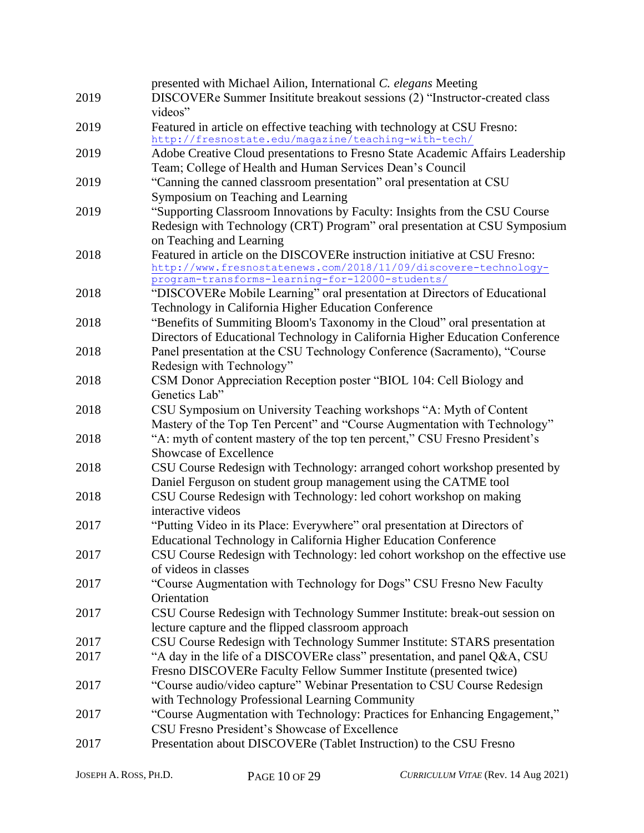|      | presented with Michael Ailion, International C. elegans Meeting                |
|------|--------------------------------------------------------------------------------|
| 2019 | DISCOVERe Summer Insititute breakout sessions (2) "Instructor-created class    |
|      | videos"                                                                        |
| 2019 | Featured in article on effective teaching with technology at CSU Fresno:       |
|      | http://fresnostate.edu/magazine/teaching-with-tech/                            |
| 2019 | Adobe Creative Cloud presentations to Fresno State Academic Affairs Leadership |
|      | Team; College of Health and Human Services Dean's Council                      |
| 2019 | "Canning the canned classroom presentation" oral presentation at CSU           |
|      | Symposium on Teaching and Learning                                             |
| 2019 | "Supporting Classroom Innovations by Faculty: Insights from the CSU Course     |
|      | Redesign with Technology (CRT) Program" oral presentation at CSU Symposium     |
|      | on Teaching and Learning                                                       |
| 2018 | Featured in article on the DISCOVERe instruction initiative at CSU Fresno:     |
|      | http://www.fresnostatenews.com/2018/11/09/discovere-technology-                |
|      | program-transforms-learning-for-12000-students/                                |
| 2018 | "DISCOVERe Mobile Learning" oral presentation at Directors of Educational      |
|      | Technology in California Higher Education Conference                           |
| 2018 | "Benefits of Summiting Bloom's Taxonomy in the Cloud" oral presentation at     |
|      | Directors of Educational Technology in California Higher Education Conference  |
| 2018 | Panel presentation at the CSU Technology Conference (Sacramento), "Course      |
|      | Redesign with Technology"                                                      |
| 2018 | CSM Donor Appreciation Reception poster "BIOL 104: Cell Biology and            |
|      | Genetics Lab"                                                                  |
| 2018 | CSU Symposium on University Teaching workshops "A: Myth of Content             |
|      | Mastery of the Top Ten Percent" and "Course Augmentation with Technology"      |
| 2018 | "A: myth of content mastery of the top ten percent," CSU Fresno President's    |
|      | Showcase of Excellence                                                         |
| 2018 | CSU Course Redesign with Technology: arranged cohort workshop presented by     |
|      | Daniel Ferguson on student group management using the CATME tool               |
| 2018 | CSU Course Redesign with Technology: led cohort workshop on making             |
|      | interactive videos                                                             |
| 2017 | "Putting Video in its Place: Everywhere" oral presentation at Directors of     |
|      | Educational Technology in California Higher Education Conference               |
| 2017 | CSU Course Redesign with Technology: led cohort workshop on the effective use  |
|      | of videos in classes                                                           |
| 2017 | "Course Augmentation with Technology for Dogs" CSU Fresno New Faculty          |
|      | Orientation                                                                    |
|      |                                                                                |
| 2017 | CSU Course Redesign with Technology Summer Institute: break-out session on     |
|      | lecture capture and the flipped classroom approach                             |
| 2017 | CSU Course Redesign with Technology Summer Institute: STARS presentation       |
| 2017 | "A day in the life of a DISCOVERe class" presentation, and panel Q&A, CSU      |
|      | Fresno DISCOVERe Faculty Fellow Summer Institute (presented twice)             |
| 2017 | "Course audio/video capture" Webinar Presentation to CSU Course Redesign       |
|      | with Technology Professional Learning Community                                |
| 2017 | "Course Augmentation with Technology: Practices for Enhancing Engagement,"     |
|      | CSU Fresno President's Showcase of Excellence                                  |
| 2017 | Presentation about DISCOVERe (Tablet Instruction) to the CSU Fresno            |
|      |                                                                                |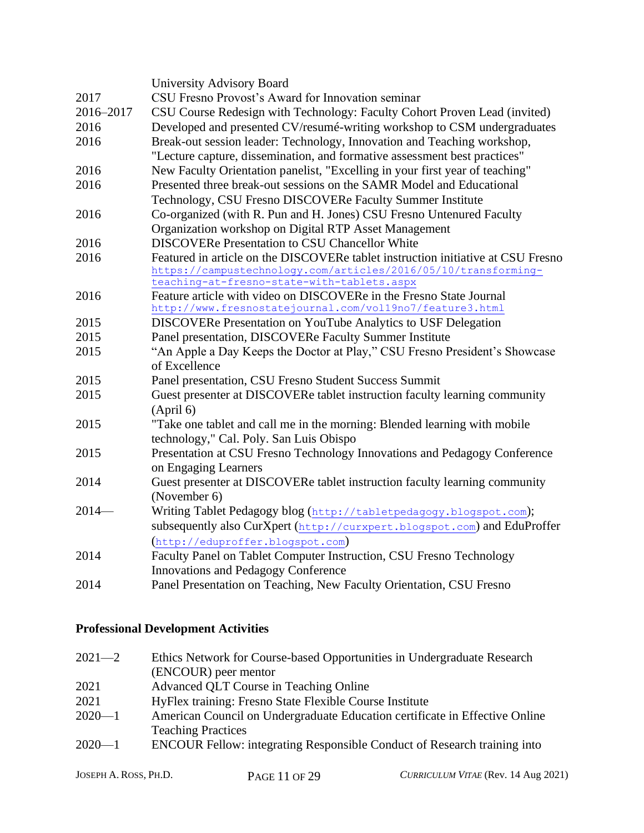|           | University Advisory Board                                                                                                 |  |  |  |  |  |
|-----------|---------------------------------------------------------------------------------------------------------------------------|--|--|--|--|--|
| 2017      | CSU Fresno Provost's Award for Innovation seminar                                                                         |  |  |  |  |  |
| 2016-2017 | CSU Course Redesign with Technology: Faculty Cohort Proven Lead (invited)                                                 |  |  |  |  |  |
| 2016      | Developed and presented CV/resumé-writing workshop to CSM undergraduates                                                  |  |  |  |  |  |
| 2016      | Break-out session leader: Technology, Innovation and Teaching workshop,                                                   |  |  |  |  |  |
|           | "Lecture capture, dissemination, and formative assessment best practices"                                                 |  |  |  |  |  |
| 2016      | New Faculty Orientation panelist, "Excelling in your first year of teaching"                                              |  |  |  |  |  |
| 2016      | Presented three break-out sessions on the SAMR Model and Educational                                                      |  |  |  |  |  |
|           | Technology, CSU Fresno DISCOVERe Faculty Summer Institute                                                                 |  |  |  |  |  |
| 2016      | Co-organized (with R. Pun and H. Jones) CSU Fresno Untenured Faculty                                                      |  |  |  |  |  |
|           | Organization workshop on Digital RTP Asset Management                                                                     |  |  |  |  |  |
| 2016      | <b>DISCOVERe Presentation to CSU Chancellor White</b>                                                                     |  |  |  |  |  |
| 2016      | Featured in article on the DISCOVERe tablet instruction initiative at CSU Fresno                                          |  |  |  |  |  |
|           | https://campustechnology.com/articles/2016/05/10/transforming-                                                            |  |  |  |  |  |
|           | teaching-at-fresno-state-with-tablets.aspx                                                                                |  |  |  |  |  |
| 2016      | Feature article with video on DISCOVERe in the Fresno State Journal                                                       |  |  |  |  |  |
| 2015      | http://www.fresnostatejournal.com/vol19no7/feature3.html<br>DISCOVERe Presentation on YouTube Analytics to USF Delegation |  |  |  |  |  |
| 2015      | Panel presentation, DISCOVERe Faculty Summer Institute                                                                    |  |  |  |  |  |
| 2015      | "An Apple a Day Keeps the Doctor at Play," CSU Fresno President's Showcase                                                |  |  |  |  |  |
|           | of Excellence                                                                                                             |  |  |  |  |  |
| 2015      | Panel presentation, CSU Fresno Student Success Summit                                                                     |  |  |  |  |  |
| 2015      | Guest presenter at DISCOVERe tablet instruction faculty learning community                                                |  |  |  |  |  |
|           | (April 6)                                                                                                                 |  |  |  |  |  |
| 2015      | "Take one tablet and call me in the morning: Blended learning with mobile                                                 |  |  |  |  |  |
|           | technology," Cal. Poly. San Luis Obispo                                                                                   |  |  |  |  |  |
| 2015      | Presentation at CSU Fresno Technology Innovations and Pedagogy Conference                                                 |  |  |  |  |  |
|           | on Engaging Learners                                                                                                      |  |  |  |  |  |
| 2014      | Guest presenter at DISCOVERe tablet instruction faculty learning community                                                |  |  |  |  |  |
|           | (November 6)                                                                                                              |  |  |  |  |  |
| $2014-$   | Writing Tablet Pedagogy blog (http://tabletpedagogy.blogspot.com);                                                        |  |  |  |  |  |
|           | subsequently also CurXpert (http://curxpert.blogspot.com) and EduProffer                                                  |  |  |  |  |  |
|           | (http://eduproffer.blogspot.com)                                                                                          |  |  |  |  |  |
| 2014      | Faculty Panel on Tablet Computer Instruction, CSU Fresno Technology                                                       |  |  |  |  |  |
|           | <b>Innovations and Pedagogy Conference</b>                                                                                |  |  |  |  |  |
| 2014      | Panel Presentation on Teaching, New Faculty Orientation, CSU Fresno                                                       |  |  |  |  |  |

# **Professional Development Activities**

| Ethics Network for Course-based Opportunities in Undergraduate Research         |
|---------------------------------------------------------------------------------|
| (ENCOUR) peer mentor                                                            |
| Advanced QLT Course in Teaching Online                                          |
| HyFlex training: Fresno State Flexible Course Institute                         |
| American Council on Undergraduate Education certificate in Effective Online     |
| <b>Teaching Practices</b>                                                       |
| <b>ENCOUR Fellow: integrating Responsible Conduct of Research training into</b> |
|                                                                                 |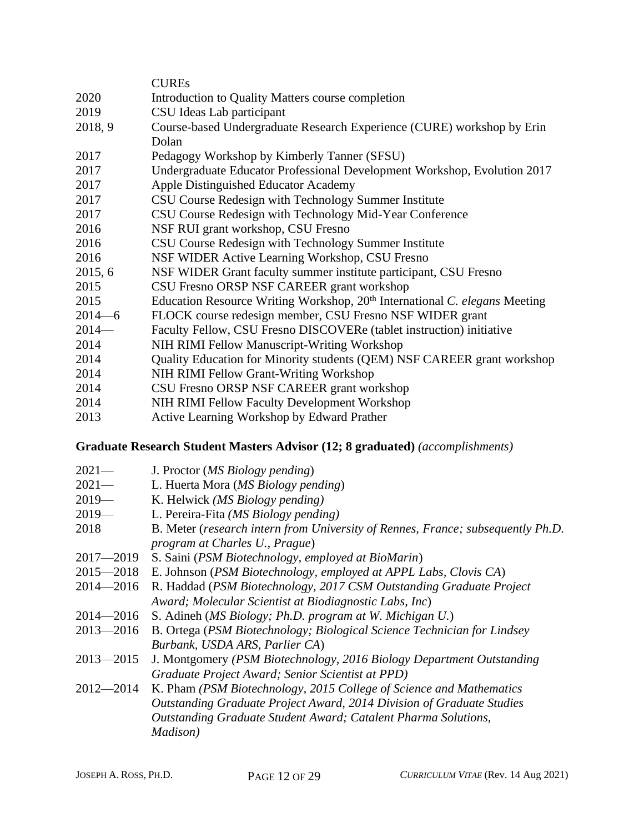|            | <b>CUREs</b>                                                                           |
|------------|----------------------------------------------------------------------------------------|
| 2020       | Introduction to Quality Matters course completion                                      |
| 2019       | CSU Ideas Lab participant                                                              |
| 2018, 9    | Course-based Undergraduate Research Experience (CURE) workshop by Erin                 |
|            | Dolan                                                                                  |
| 2017       | Pedagogy Workshop by Kimberly Tanner (SFSU)                                            |
| 2017       | Undergraduate Educator Professional Development Workshop, Evolution 2017               |
| 2017       | Apple Distinguished Educator Academy                                                   |
| 2017       | CSU Course Redesign with Technology Summer Institute                                   |
| 2017       | CSU Course Redesign with Technology Mid-Year Conference                                |
| 2016       | NSF RUI grant workshop, CSU Fresno                                                     |
| 2016       | CSU Course Redesign with Technology Summer Institute                                   |
| 2016       | NSF WIDER Active Learning Workshop, CSU Fresno                                         |
| 2015, 6    | NSF WIDER Grant faculty summer institute participant, CSU Fresno                       |
| 2015       | CSU Fresno ORSP NSF CAREER grant workshop                                              |
| 2015       | Education Resource Writing Workshop, 20 <sup>th</sup> International C. elegans Meeting |
| $2014 - 6$ | FLOCK course redesign member, CSU Fresno NSF WIDER grant                               |
| $2014-$    | Faculty Fellow, CSU Fresno DISCOVERe (tablet instruction) initiative                   |
| 2014       | NIH RIMI Fellow Manuscript-Writing Workshop                                            |
| 2014       | Quality Education for Minority students (QEM) NSF CAREER grant workshop                |
| 2014       | NIH RIMI Fellow Grant-Writing Workshop                                                 |
| 2014       | CSU Fresno ORSP NSF CAREER grant workshop                                              |
| 2014       | NIH RIMI Fellow Faculty Development Workshop                                           |
| 2013       | Active Learning Workshop by Edward Prather                                             |

### **Graduate Research Student Masters Advisor (12; 8 graduated)** *(accomplishments)*

- 2021— J. Proctor (*MS Biology pending*)
- 2021— L. Huerta Mora (*MS Biology pending*)
- 2019— K. Helwick *(MS Biology pending)*
- 2019— L. Pereira-Fita *(MS Biology pending)*
- 2018 B. Meter (*research intern from University of Rennes, France; subsequently Ph.D. program at Charles U., Prague*)
- 2017—2019 S. Saini (*PSM Biotechnology, employed at BioMarin*)
- 2015—2018 E. Johnson (*PSM Biotechnology, employed at APPL Labs, Clovis CA*)
- 2014—2016 R. Haddad (*PSM Biotechnology, 2017 CSM Outstanding Graduate Project Award; Molecular Scientist at Biodiagnostic Labs, Inc*)
- 2014—2016 S. Adineh (*MS Biology; Ph.D. program at W. Michigan U.*)
- 2013—2016 B. Ortega (*PSM Biotechnology; Biological Science Technician for Lindsey Burbank, USDA ARS, Parlier CA*)
- 2013—2015 J. Montgomery *(PSM Biotechnology, 2016 Biology Department Outstanding Graduate Project Award; Senior Scientist at PPD)*
- 2012—2014 K. Pham *(PSM Biotechnology, 2015 College of Science and Mathematics Outstanding Graduate Project Award, 2014 Division of Graduate Studies Outstanding Graduate Student Award; Catalent Pharma Solutions, Madison)*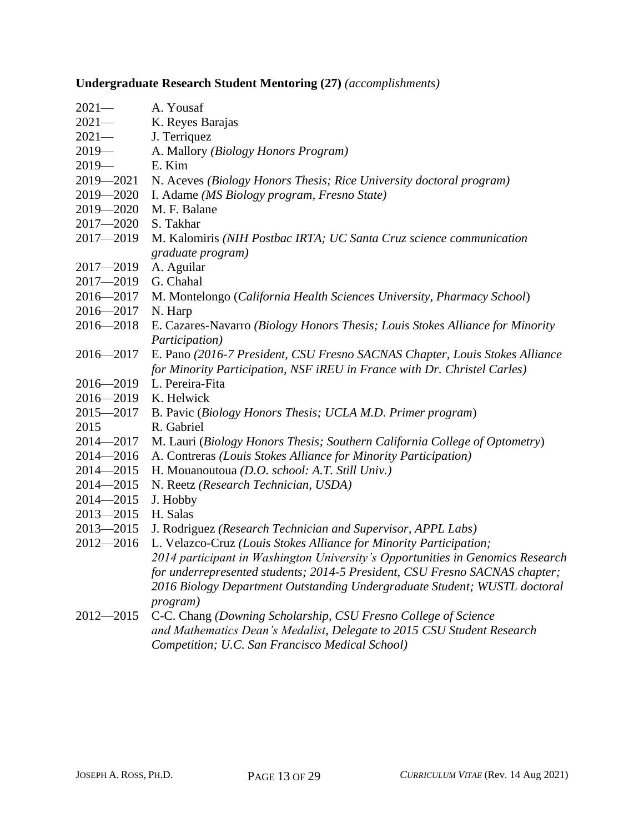## **Undergraduate Research Student Mentoring (27)** *(accomplishments)*

| $2021-$       | A. Yousaf                                                                      |
|---------------|--------------------------------------------------------------------------------|
| $2021 -$      | K. Reyes Barajas                                                               |
| $2021-$       | J. Terriquez                                                                   |
| $2019-$       | A. Mallory (Biology Honors Program)                                            |
| $2019-$       | E. Kim                                                                         |
| $2019 - 2021$ | N. Aceves (Biology Honors Thesis; Rice University doctoral program)            |
| 2019-2020     | I. Adame (MS Biology program, Fresno State)                                    |
| $2019 - 2020$ | M. F. Balane                                                                   |
| $2017 - 2020$ | S. Takhar                                                                      |
| $2017 - 2019$ | M. Kalomiris (NIH Postbac IRTA; UC Santa Cruz science communication            |
|               | graduate program)                                                              |
| $2017 - 2019$ | A. Aguilar                                                                     |
| $2017 - 2019$ | G. Chahal                                                                      |
| $2016 - 2017$ | M. Montelongo (California Health Sciences University, Pharmacy School)         |
| 2016-2017     | N. Harp                                                                        |
| $2016 - 2018$ | E. Cazares-Navarro (Biology Honors Thesis; Louis Stokes Alliance for Minority  |
|               | Participation)                                                                 |
| $2016 - 2017$ | E. Pano (2016-7 President, CSU Fresno SACNAS Chapter, Louis Stokes Alliance    |
|               | for Minority Participation, NSF iREU in France with Dr. Christel Carles)       |
| $2016 - 2019$ | L. Pereira-Fita                                                                |
| $2016 - 2019$ | K. Helwick                                                                     |
| $2015 - 2017$ | B. Pavic (Biology Honors Thesis; UCLA M.D. Primer program)                     |
| 2015          | R. Gabriel                                                                     |
| $2014 - 2017$ | M. Lauri (Biology Honors Thesis; Southern California College of Optometry)     |
| $2014 - 2016$ | A. Contreras (Louis Stokes Alliance for Minority Participation)                |
| $2014 - 2015$ | H. Mouanoutoua (D.O. school: A.T. Still Univ.)                                 |
| $2014 - 2015$ | N. Reetz (Research Technician, USDA)                                           |
| $2014 - 2015$ | J. Hobby                                                                       |
| $2013 - 2015$ | H. Salas                                                                       |
| $2013 - 2015$ | J. Rodriguez (Research Technician and Supervisor, APPL Labs)                   |
| $2012 - 2016$ | L. Velazco-Cruz (Louis Stokes Alliance for Minority Participation;             |
|               | 2014 participant in Washington University's Opportunities in Genomics Research |
|               | for underrepresented students; 2014-5 President, CSU Fresno SACNAS chapter;    |
|               | 2016 Biology Department Outstanding Undergraduate Student; WUSTL doctoral      |
|               | <i>program</i> )                                                               |
| $2012 - 2015$ | C-C. Chang (Downing Scholarship, CSU Fresno College of Science                 |
|               | and Mathematics Dean's Medalist, Delegate to 2015 CSU Student Research         |
|               | Competition; U.C. San Francisco Medical School)                                |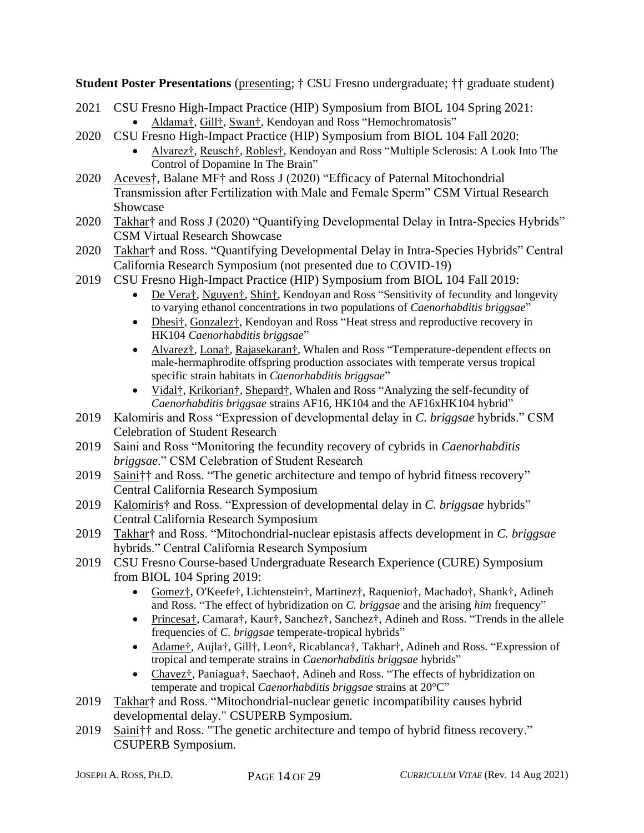**Student Poster Presentations** (presenting; † CSU Fresno undergraduate; †† graduate student)

- 2021 CSU Fresno High-Impact Practice (HIP) Symposium from BIOL 104 Spring 2021: • Aldama†, Gill†, Swan†, Kendoyan and Ross "Hemochromatosis"
- 2020 CSU Fresno High-Impact Practice (HIP) Symposium from BIOL 104 Fall 2020:
	- Alvarez†, Reusch†, Robles†, Kendoyan and Ross "Multiple Sclerosis: A Look Into The Control of Dopamine In The Brain"
- 2020 Aceves†, Balane MF† and Ross J (2020) "Efficacy of Paternal Mitochondrial Transmission after Fertilization with Male and Female Sperm" CSM Virtual Research Showcase
- 2020 Takhar† and Ross J (2020) "Quantifying Developmental Delay in Intra-Species Hybrids" CSM Virtual Research Showcase
- 2020 Takhar† and Ross. "Quantifying Developmental Delay in Intra-Species Hybrids" Central California Research Symposium (not presented due to COVID-19)
- 2019 CSU Fresno High-Impact Practice (HIP) Symposium from BIOL 104 Fall 2019:
	- De Vera†, Nguyen†, Shin†, Kendoyan and Ross "Sensitivity of fecundity and longevity to varying ethanol concentrations in two populations of *Caenorhabditis briggsae*"
	- Dhesi<sup>†</sup>, Gonzalez<sup>†</sup>, Kendoyan and Ross "Heat stress and reproductive recovery in HK104 *Caenorhabditis briggsae*"
	- Alvarez†, Lona†, Rajasekaran†, Whalen and Ross "Temperature-dependent effects on male-hermaphrodite offspring production associates with temperate versus tropical specific strain habitats in *Caenorhabditis briggsae*"
	- Vidal†, Krikorian†, Shepard†, Whalen and Ross "Analyzing the self-fecundity of *Caenorhabditis briggsae* strains AF16, HK104 and the AF16xHK104 hybrid"
- 2019 Kalomiris and Ross "Expression of developmental delay in *C. briggsae* hybrids." CSM Celebration of Student Research
- 2019 Saini and Ross "Monitoring the fecundity recovery of cybrids in *Caenorhabditis briggsae*." CSM Celebration of Student Research
- 2019 Saini†† and Ross. "The genetic architecture and tempo of hybrid fitness recovery" Central California Research Symposium
- 2019 Kalomiris† and Ross. "Expression of developmental delay in *C. briggsae* hybrids" Central California Research Symposium
- 2019 Takhar† and Ross. "Mitochondrial-nuclear epistasis affects development in *C. briggsae* hybrids." Central California Research Symposium
- 2019 CSU Fresno Course-based Undergraduate Research Experience (CURE) Symposium from BIOL 104 Spring 2019:
	- Gomez†, O'Keefe†, Lichtenstein†, Martinez†, Raquenio†, Machado†, Shank†, Adineh and Ross. "The effect of hybridization on *C. briggsae* and the arising *him* frequency"
	- Princesa†, Camara†, Kaur†, Sanchez†, Sanchez†, Adineh and Ross. "Trends in the allele frequencies of *C. briggsae* temperate-tropical hybrids"
	- Adame†, Aujla†, Gill†, Leon†, Ricablanca†, Takhar†, Adineh and Ross. "Expression of tropical and temperate strains in *Caenorhabditis briggsae* hybrids"
	- Chavez†, Paniagua†, Saechao†, Adineh and Ross. "The effects of hybridization on temperate and tropical *Caenorhabditis briggsae* strains at 20°C"
- 2019 Takhar† and Ross. "Mitochondrial-nuclear genetic incompatibility causes hybrid developmental delay." CSUPERB Symposium.
- 2019 Saini†† and Ross. "The genetic architecture and tempo of hybrid fitness recovery." CSUPERB Symposium.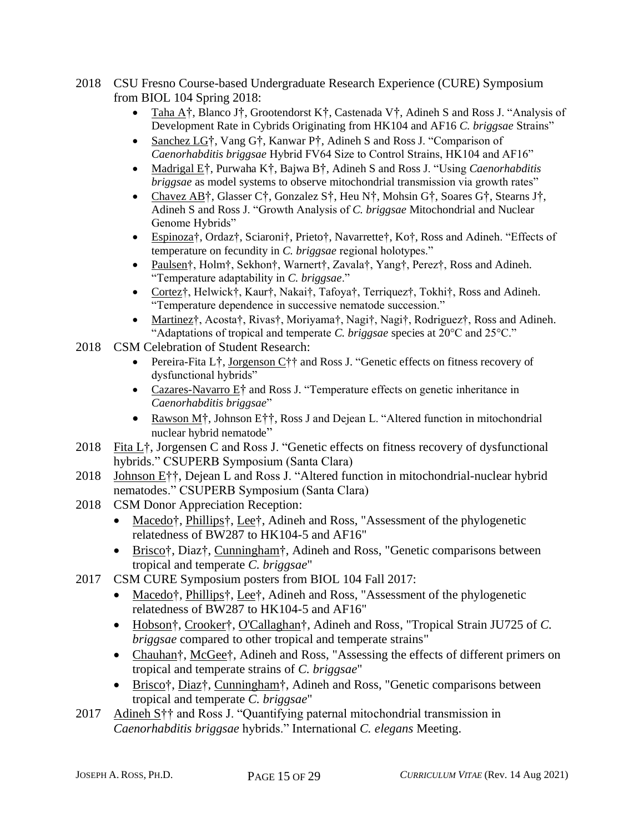- 2018 CSU Fresno Course-based Undergraduate Research Experience (CURE) Symposium from BIOL 104 Spring 2018:
	- Taha A†, Blanco J†, Grootendorst K†, Castenada V†, Adineh S and Ross J. "Analysis of Development Rate in Cybrids Originating from HK104 and AF16 *C. briggsae* Strains"
	- Sanchez LG†, Vang G†, Kanwar P†, Adineh S and Ross J. "Comparison of *Caenorhabditis briggsae* Hybrid FV64 Size to Control Strains, HK104 and AF16"
	- Madrigal E†, Purwaha K†, Bajwa B†, Adineh S and Ross J. "Using *Caenorhabditis briggsae* as model systems to observe mitochondrial transmission via growth rates"
	- Chavez AB†, Glasser C†, Gonzalez S†, Heu N†, Mohsin G†, Soares G†, Stearns J†, Adineh S and Ross J. "Growth Analysis of *C. briggsae* Mitochondrial and Nuclear Genome Hybrids"
	- Espinoza†, Ordaz†, Sciaroni†, Prieto†, Navarrette†, Ko†, Ross and Adineh. "Effects of temperature on fecundity in *C. briggsae* regional holotypes."
	- Paulsen†, Holm†, Sekhon†, Warnert†, Zavala†, Yang†, Perez†, Ross and Adineh. "Temperature adaptability in *C. briggsae*."
	- Cortez†, Helwick†, Kaur†, Nakai†, Tafoya†, Terriquez†, Tokhi†, Ross and Adineh. "Temperature dependence in successive nematode succession."
	- Martinez†, Acosta†, Rivas†, Moriyama†, Nagi†, Nagi†, Rodriguez†, Ross and Adineh. "Adaptations of tropical and temperate *C. briggsae* species at 20°C and 25°C."
- 2018 CSM Celebration of Student Research:
	- Pereira-Fita L†, Jorgenson C†† and Ross J. "Genetic effects on fitness recovery of dysfunctional hybrids"
	- Cazares-Navarro  $E^{\dagger}$  and Ross J. "Temperature effects on genetic inheritance in *Caenorhabditis briggsae*"
	- Rawson M<sup>†</sup>, Johnson E<sup>†</sup>†, Ross J and Dejean L. "Altered function in mitochondrial nuclear hybrid nematode"
- 2018 Fita L†, Jorgensen C and Ross J. "Genetic effects on fitness recovery of dysfunctional hybrids." CSUPERB Symposium (Santa Clara)
- 2018 Johnson E††, Dejean L and Ross J. "Altered function in mitochondrial-nuclear hybrid nematodes." CSUPERB Symposium (Santa Clara)
- 2018 CSM Donor Appreciation Reception:
	- Macedo†, Phillips†, Lee†, Adineh and Ross, "Assessment of the phylogenetic relatedness of BW287 to HK104-5 and AF16"
	- Brisco†, Diaz†, Cunningham†, Adineh and Ross, "Genetic comparisons between tropical and temperate *C. briggsae*"
- 2017 CSM CURE Symposium posters from BIOL 104 Fall 2017:
	- Macedo†, Phillips†, Lee†, Adineh and Ross, "Assessment of the phylogenetic relatedness of BW287 to HK104-5 and AF16"
	- Hobson†, Crooker†, O'Callaghan†, Adineh and Ross, "Tropical Strain JU725 of *C. briggsae* compared to other tropical and temperate strains"
	- Chauhan†, McGee†, Adineh and Ross, "Assessing the effects of different primers on tropical and temperate strains of *C. briggsae*"
	- Brisco†, Diaz†, Cunningham†, Adineh and Ross, "Genetic comparisons between tropical and temperate *C. briggsae*"
- 2017 Adineh S<sup>††</sup> and Ross J. "Quantifying paternal mitochondrial transmission in *Caenorhabditis briggsae* hybrids." International *C. elegans* Meeting.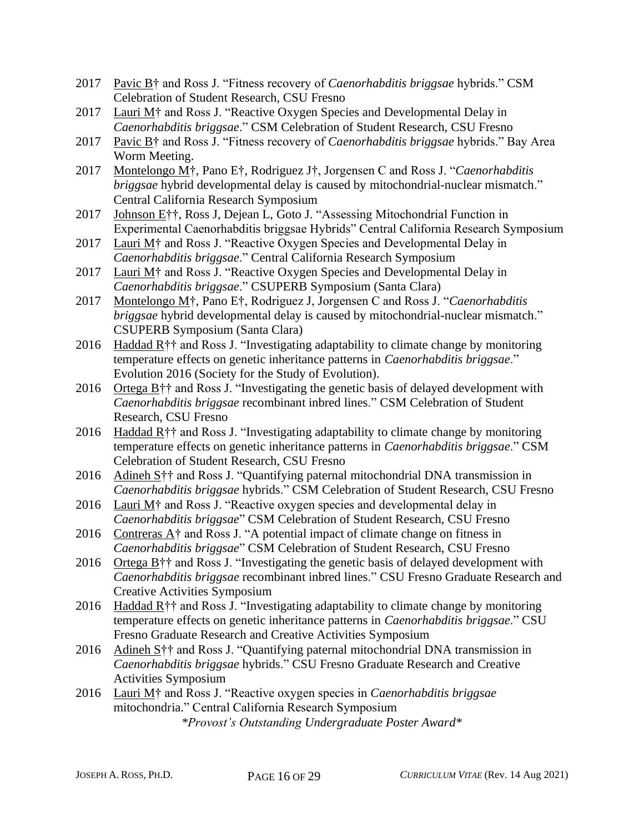- 2017 Pavic B† and Ross J. "Fitness recovery of *Caenorhabditis briggsae* hybrids." CSM Celebration of Student Research, CSU Fresno
- 2017 Lauri M† and Ross J. "Reactive Oxygen Species and Developmental Delay in *Caenorhabditis briggsae*." CSM Celebration of Student Research, CSU Fresno
- 2017 Pavic B† and Ross J. "Fitness recovery of *Caenorhabditis briggsae* hybrids." Bay Area Worm Meeting.
- 2017 Montelongo M†, Pano E†, Rodriguez J†, Jorgensen C and Ross J. "*Caenorhabditis briggsae* hybrid developmental delay is caused by mitochondrial-nuclear mismatch." Central California Research Symposium
- 2017 Johnson E††, Ross J, Dejean L, Goto J. "Assessing Mitochondrial Function in Experimental Caenorhabditis briggsae Hybrids" Central California Research Symposium
- 2017 Lauri M† and Ross J. "Reactive Oxygen Species and Developmental Delay in *Caenorhabditis briggsae*." Central California Research Symposium
- 2017 Lauri M† and Ross J. "Reactive Oxygen Species and Developmental Delay in *Caenorhabditis briggsae*." CSUPERB Symposium (Santa Clara)
- 2017 Montelongo M†, Pano E†, Rodriguez J, Jorgensen C and Ross J. "*Caenorhabditis briggsae* hybrid developmental delay is caused by mitochondrial-nuclear mismatch." CSUPERB Symposium (Santa Clara)
- 2016 Haddad R†† and Ross J. "Investigating adaptability to climate change by monitoring temperature effects on genetic inheritance patterns in *Caenorhabditis briggsae*." Evolution 2016 (Society for the Study of Evolution).
- 2016 Ortega B†† and Ross J. "Investigating the genetic basis of delayed development with *Caenorhabditis briggsae* recombinant inbred lines." CSM Celebration of Student Research, CSU Fresno
- 2016 Haddad R†† and Ross J. "Investigating adaptability to climate change by monitoring temperature effects on genetic inheritance patterns in *Caenorhabditis briggsae*." CSM Celebration of Student Research, CSU Fresno
- 2016 Adineh S†† and Ross J. "Quantifying paternal mitochondrial DNA transmission in *Caenorhabditis briggsae* hybrids." CSM Celebration of Student Research, CSU Fresno
- 2016 Lauri M† and Ross J. "Reactive oxygen species and developmental delay in *Caenorhabditis briggsae*" CSM Celebration of Student Research, CSU Fresno
- 2016 Contreras A† and Ross J. "A potential impact of climate change on fitness in *Caenorhabditis briggsae*" CSM Celebration of Student Research, CSU Fresno
- 2016 Ortega B†† and Ross J. "Investigating the genetic basis of delayed development with *Caenorhabditis briggsae* recombinant inbred lines." CSU Fresno Graduate Research and Creative Activities Symposium
- 2016 Haddad  $R\uparrow\uparrow$  and Ross J. "Investigating adaptability to climate change by monitoring temperature effects on genetic inheritance patterns in *Caenorhabditis briggsae*." CSU Fresno Graduate Research and Creative Activities Symposium
- 2016 Adineh S†† and Ross J. "Quantifying paternal mitochondrial DNA transmission in *Caenorhabditis briggsae* hybrids." CSU Fresno Graduate Research and Creative Activities Symposium
- 2016 Lauri M† and Ross J. "Reactive oxygen species in *Caenorhabditis briggsae* mitochondria." Central California Research Symposium *\*Provost's Outstanding Undergraduate Poster Award\**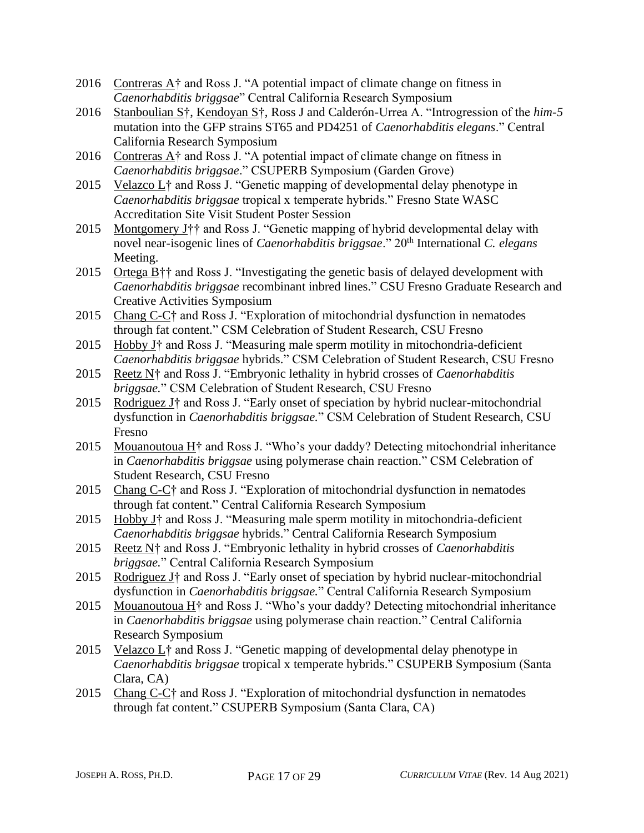- 2016 Contreras  $A\uparrow$  and Ross J. "A potential impact of climate change on fitness in *Caenorhabditis briggsae*" Central California Research Symposium
- 2016 Stanboulian S†, Kendoyan S†, Ross J and Calderón-Urrea A. "Introgression of the *him-5* mutation into the GFP strains ST65 and PD4251 of *Caenorhabditis elegans*." Central California Research Symposium
- 2016 Contreras  $A\uparrow$  and Ross J. "A potential impact of climate change on fitness in *Caenorhabditis briggsae*." CSUPERB Symposium (Garden Grove)
- 2015 Velazco L† and Ross J. "Genetic mapping of developmental delay phenotype in *Caenorhabditis briggsae* tropical x temperate hybrids." Fresno State WASC Accreditation Site Visit Student Poster Session
- 2015 Montgomery J†† and Ross J. "Genetic mapping of hybrid developmental delay with novel near-isogenic lines of *Caenorhabditis briggsae*." 20<sup>th</sup> International *C. elegans* Meeting.
- 2015 Ortega B†† and Ross J. "Investigating the genetic basis of delayed development with *Caenorhabditis briggsae* recombinant inbred lines." CSU Fresno Graduate Research and Creative Activities Symposium
- 2015 Chang C-C† and Ross J. "Exploration of mitochondrial dysfunction in nematodes through fat content." CSM Celebration of Student Research, CSU Fresno
- 2015 Hobby J† and Ross J. "Measuring male sperm motility in mitochondria-deficient *Caenorhabditis briggsae* hybrids." CSM Celebration of Student Research, CSU Fresno
- 2015 Reetz N† and Ross J. "Embryonic lethality in hybrid crosses of *Caenorhabditis briggsae.*" CSM Celebration of Student Research, CSU Fresno
- 2015 Rodriguez J† and Ross J. "Early onset of speciation by hybrid nuclear-mitochondrial dysfunction in *Caenorhabditis briggsae.*" CSM Celebration of Student Research, CSU Fresno
- 2015 Mouanoutoua H<sup>+</sup> and Ross J. "Who's your daddy? Detecting mitochondrial inheritance in *Caenorhabditis briggsae* using polymerase chain reaction." CSM Celebration of Student Research, CSU Fresno
- 2015 Chang  $C-C<sub>i</sub>$  and Ross J. "Exploration of mitochondrial dysfunction in nematodes through fat content." Central California Research Symposium
- 2015 Hobby J<sup>†</sup> and Ross J. "Measuring male sperm motility in mitochondria-deficient *Caenorhabditis briggsae* hybrids." Central California Research Symposium
- 2015 Reetz N† and Ross J. "Embryonic lethality in hybrid crosses of *Caenorhabditis briggsae.*" Central California Research Symposium
- 2015 Rodriguez J<sup>†</sup> and Ross J. "Early onset of speciation by hybrid nuclear-mitochondrial dysfunction in *Caenorhabditis briggsae.*" Central California Research Symposium
- 2015 Mouanoutoua H $\dagger$  and Ross J. "Who's your daddy? Detecting mitochondrial inheritance in *Caenorhabditis briggsae* using polymerase chain reaction." Central California Research Symposium
- 2015 Velazco L† and Ross J. "Genetic mapping of developmental delay phenotype in *Caenorhabditis briggsae* tropical x temperate hybrids." CSUPERB Symposium (Santa Clara, CA)
- 2015 Chang C-C† and Ross J. "Exploration of mitochondrial dysfunction in nematodes through fat content." CSUPERB Symposium (Santa Clara, CA)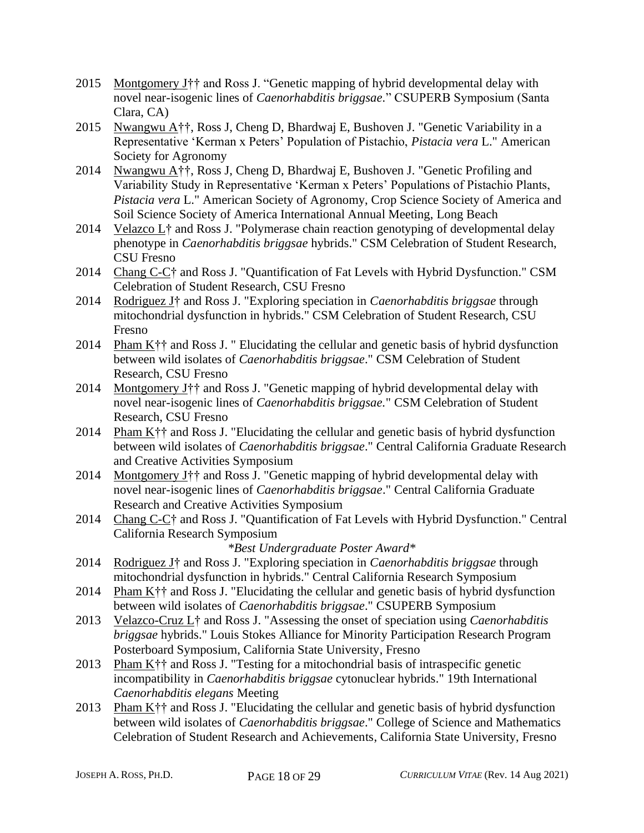- 2015 Montgomery J†† and Ross J. "Genetic mapping of hybrid developmental delay with novel near-isogenic lines of *Caenorhabditis briggsae.*" CSUPERB Symposium (Santa Clara, CA)
- 2015 Nwangwu A††, Ross J, Cheng D, Bhardwaj E, Bushoven J. "Genetic Variability in a Representative 'Kerman x Peters' Population of Pistachio, *Pistacia vera* L." American Society for Agronomy
- 2014 Nwangwu A††, Ross J, Cheng D, Bhardwaj E, Bushoven J. "Genetic Profiling and Variability Study in Representative 'Kerman x Peters' Populations of Pistachio Plants, *Pistacia vera* L." American Society of Agronomy, Crop Science Society of America and Soil Science Society of America International Annual Meeting, Long Beach
- 2014 Velazco L<sup>†</sup> and Ross J. "Polymerase chain reaction genotyping of developmental delay phenotype in *Caenorhabditis briggsae* hybrids." CSM Celebration of Student Research, CSU Fresno
- 2014 Chang C-C† and Ross J. "Quantification of Fat Levels with Hybrid Dysfunction." CSM Celebration of Student Research, CSU Fresno
- 2014 Rodriguez J† and Ross J. "Exploring speciation in *Caenorhabditis briggsae* through mitochondrial dysfunction in hybrids." CSM Celebration of Student Research, CSU Fresno
- 2014 Pham K†† and Ross J. " Elucidating the cellular and genetic basis of hybrid dysfunction between wild isolates of *Caenorhabditis briggsae*." CSM Celebration of Student Research, CSU Fresno
- 2014 Montgomery J†† and Ross J. "Genetic mapping of hybrid developmental delay with novel near-isogenic lines of *Caenorhabditis briggsae.*" CSM Celebration of Student Research, CSU Fresno
- 2014 Pham K†† and Ross J. "Elucidating the cellular and genetic basis of hybrid dysfunction between wild isolates of *Caenorhabditis briggsae*." Central California Graduate Research and Creative Activities Symposium
- 2014 Montgomery J†† and Ross J. "Genetic mapping of hybrid developmental delay with novel near-isogenic lines of *Caenorhabditis briggsae*." Central California Graduate Research and Creative Activities Symposium
- 2014 Chang C-C† and Ross J. "Quantification of Fat Levels with Hybrid Dysfunction." Central California Research Symposium

### *\*Best Undergraduate Poster Award\**

- 2014 Rodriguez J† and Ross J. "Exploring speciation in *Caenorhabditis briggsae* through mitochondrial dysfunction in hybrids." Central California Research Symposium
- 2014 Pham K<sup> $\dagger$ </sup> and Ross J. "Elucidating the cellular and genetic basis of hybrid dysfunction between wild isolates of *Caenorhabditis briggsae*." CSUPERB Symposium
- 2013 Velazco-Cruz L† and Ross J. "Assessing the onset of speciation using *Caenorhabditis briggsae* hybrids." Louis Stokes Alliance for Minority Participation Research Program Posterboard Symposium, California State University, Fresno
- 2013 Pham K†† and Ross J. "Testing for a mitochondrial basis of intraspecific genetic incompatibility in *Caenorhabditis briggsae* cytonuclear hybrids." 19th International *Caenorhabditis elegans* Meeting
- 2013 Pham K†† and Ross J. "Elucidating the cellular and genetic basis of hybrid dysfunction between wild isolates of *Caenorhabditis briggsae*." College of Science and Mathematics Celebration of Student Research and Achievements, California State University, Fresno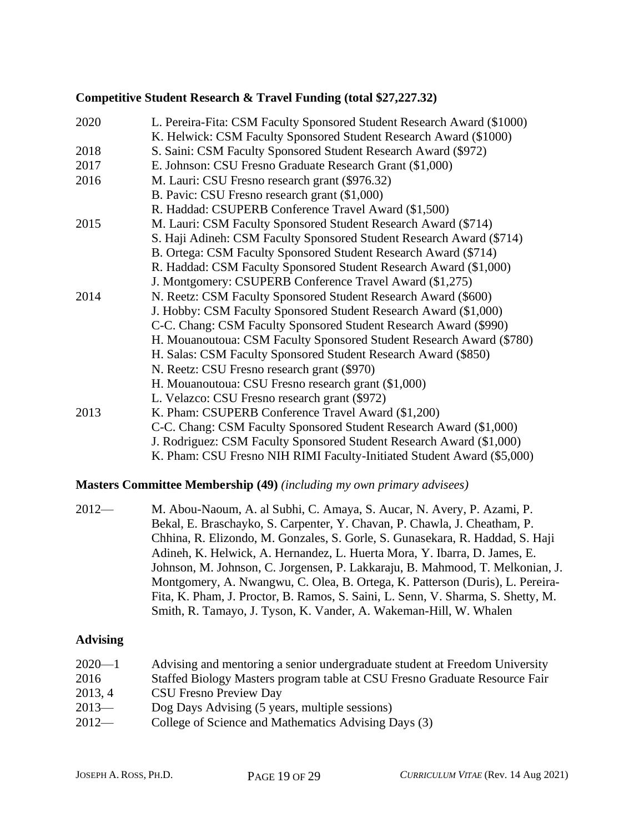### **Competitive Student Research & Travel Funding (total \$27,227.32)**

| 2020 | L. Pereira-Fita: CSM Faculty Sponsored Student Research Award (\$1000) |
|------|------------------------------------------------------------------------|
|      | K. Helwick: CSM Faculty Sponsored Student Research Award (\$1000)      |
| 2018 | S. Saini: CSM Faculty Sponsored Student Research Award (\$972)         |
| 2017 | E. Johnson: CSU Fresno Graduate Research Grant (\$1,000)               |
| 2016 | M. Lauri: CSU Fresno research grant (\$976.32)                         |
|      | B. Pavic: CSU Fresno research grant (\$1,000)                          |
|      | R. Haddad: CSUPERB Conference Travel Award (\$1,500)                   |
| 2015 | M. Lauri: CSM Faculty Sponsored Student Research Award (\$714)         |
|      | S. Haji Adineh: CSM Faculty Sponsored Student Research Award (\$714)   |
|      | B. Ortega: CSM Faculty Sponsored Student Research Award (\$714)        |
|      | R. Haddad: CSM Faculty Sponsored Student Research Award (\$1,000)      |
|      | J. Montgomery: CSUPERB Conference Travel Award (\$1,275)               |
| 2014 | N. Reetz: CSM Faculty Sponsored Student Research Award (\$600)         |
|      | J. Hobby: CSM Faculty Sponsored Student Research Award (\$1,000)       |
|      | C-C. Chang: CSM Faculty Sponsored Student Research Award (\$990)       |
|      | H. Mouanoutoua: CSM Faculty Sponsored Student Research Award (\$780)   |
|      | H. Salas: CSM Faculty Sponsored Student Research Award (\$850)         |
|      | N. Reetz: CSU Fresno research grant (\$970)                            |
|      | H. Mouanoutoua: CSU Fresno research grant (\$1,000)                    |
|      | L. Velazco: CSU Fresno research grant (\$972)                          |
| 2013 | K. Pham: CSUPERB Conference Travel Award (\$1,200)                     |
|      | C-C. Chang: CSM Faculty Sponsored Student Research Award (\$1,000)     |
|      | J. Rodriguez: CSM Faculty Sponsored Student Research Award (\$1,000)   |
|      | K. Pham: CSU Fresno NIH RIMI Faculty-Initiated Student Award (\$5,000) |

#### **Masters Committee Membership (49)** *(including my own primary advisees)*

2012— M. Abou-Naoum, A. al Subhi, C. Amaya, S. Aucar, N. Avery, P. Azami, P. Bekal, E. Braschayko, S. Carpenter, Y. Chavan, P. Chawla, J. Cheatham, P. Chhina, R. Elizondo, M. Gonzales, S. Gorle, S. Gunasekara, R. Haddad, S. Haji Adineh, K. Helwick, A. Hernandez, L. Huerta Mora, Y. Ibarra, D. James, E. Johnson, M. Johnson, C. Jorgensen, P. Lakkaraju, B. Mahmood, T. Melkonian, J. Montgomery, A. Nwangwu, C. Olea, B. Ortega, K. Patterson (Duris), L. Pereira-Fita, K. Pham, J. Proctor, B. Ramos, S. Saini, L. Senn, V. Sharma, S. Shetty, M. Smith, R. Tamayo, J. Tyson, K. Vander, A. Wakeman-Hill, W. Whalen

#### **Advising**

| $2020 - 1$ | Advising and mentoring a senior undergraduate student at Freedom University |
|------------|-----------------------------------------------------------------------------|
| 2016       | Staffed Biology Masters program table at CSU Fresno Graduate Resource Fair  |
| 2013, 4    | <b>CSU Fresno Preview Day</b>                                               |
| $2013-$    | Dog Days Advising (5 years, multiple sessions)                              |
| $2012-$    | College of Science and Mathematics Advising Days (3)                        |
|            |                                                                             |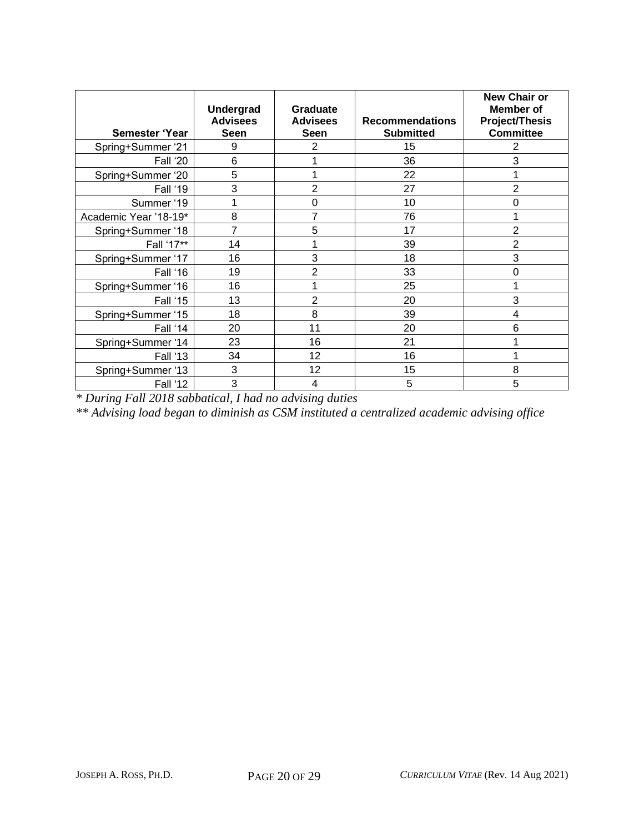| Semester 'Year        | <b>Undergrad</b><br><b>Advisees</b><br><b>Seen</b> | <b>Graduate</b><br><b>Advisees</b><br>Seen | <b>Recommendations</b><br><b>Submitted</b> | <b>New Chair or</b><br><b>Member</b> of<br><b>Project/Thesis</b><br><b>Committee</b> |
|-----------------------|----------------------------------------------------|--------------------------------------------|--------------------------------------------|--------------------------------------------------------------------------------------|
| Spring+Summer '21     | 9                                                  | 2                                          | 15                                         | 2                                                                                    |
| Fall '20              | 6                                                  |                                            | 36                                         | 3                                                                                    |
| Spring+Summer '20     | 5                                                  | 1                                          | 22                                         |                                                                                      |
| Fall '19              | 3                                                  | $\overline{2}$                             | 27                                         | $\overline{2}$                                                                       |
| Summer '19            | 1                                                  | $\mathbf 0$                                | 10                                         | 0                                                                                    |
| Academic Year '18-19* | 8                                                  | 7                                          | 76                                         |                                                                                      |
| Spring+Summer '18     | 7                                                  | 5                                          | 17                                         | 2                                                                                    |
| Fall '17**            | 14                                                 | 1                                          | 39                                         | $\overline{2}$                                                                       |
| Spring+Summer '17     | 16                                                 | 3                                          | 18                                         | 3                                                                                    |
| Fall '16              | 19                                                 | $\overline{2}$                             | 33                                         | 0                                                                                    |
| Spring+Summer '16     | 16                                                 | 1                                          | 25                                         |                                                                                      |
| Fall '15              | 13                                                 | $\overline{2}$                             | 20                                         | 3                                                                                    |
| Spring+Summer '15     | 18                                                 | 8                                          | 39                                         | 4                                                                                    |
| Fall '14              | 20                                                 | 11                                         | 20                                         | 6                                                                                    |
| Spring+Summer '14     | 23                                                 | 16                                         | 21                                         |                                                                                      |
| <b>Fall '13</b>       | 34                                                 | 12                                         | 16                                         |                                                                                      |
| Spring+Summer '13     | 3                                                  | 12                                         | 15                                         | 8                                                                                    |
| <b>Fall '12</b>       | 3                                                  | 4                                          | 5                                          | 5                                                                                    |

*\* During Fall 2018 sabbatical, I had no advising duties*

*\*\* Advising load began to diminish as CSM instituted a centralized academic advising office*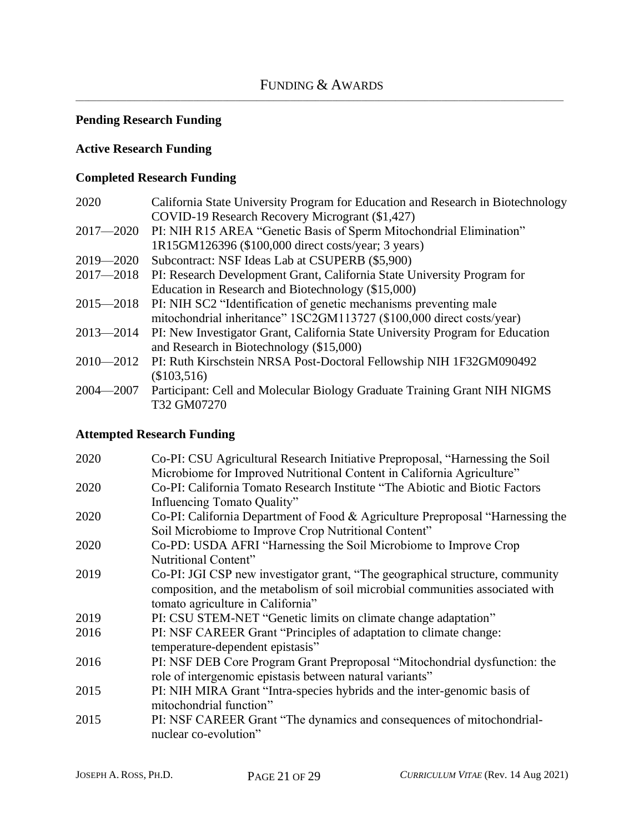### **Pending Research Funding**

### **Active Research Funding**

### **Completed Research Funding**

| 2020          | California State University Program for Education and Research in Biotechnology |
|---------------|---------------------------------------------------------------------------------|
|               | COVID-19 Research Recovery Microgrant (\$1,427)                                 |
| $2017 - 2020$ | PI: NIH R15 AREA "Genetic Basis of Sperm Mitochondrial Elimination"             |
|               | 1R15GM126396 (\$100,000 direct costs/year; 3 years)                             |
| $2019 - 2020$ | Subcontract: NSF Ideas Lab at CSUPERB (\$5,900)                                 |
| $2017 - 2018$ | PI: Research Development Grant, California State University Program for         |
|               | Education in Research and Biotechnology (\$15,000)                              |
| $2015 - 2018$ | PI: NIH SC2 "Identification of genetic mechanisms preventing male               |
|               | mitochondrial inheritance" 1SC2GM113727 (\$100,000 direct costs/year)           |
| $2013 - 2014$ | PI: New Investigator Grant, California State University Program for Education   |
|               | and Research in Biotechnology (\$15,000)                                        |
| $2010 - 2012$ | PI: Ruth Kirschstein NRSA Post-Doctoral Fellowship NIH 1F32GM090492             |
|               | (\$103,516)                                                                     |
| $2004 - 2007$ | Participant: Cell and Molecular Biology Graduate Training Grant NIH NIGMS       |
|               | T32 GM07270                                                                     |

### **Attempted Research Funding**

| 2020 | Co-PI: CSU Agricultural Research Initiative Preproposal, "Harnessing the Soil  |
|------|--------------------------------------------------------------------------------|
|      | Microbiome for Improved Nutritional Content in California Agriculture"         |
| 2020 | Co-PI: California Tomato Research Institute "The Abiotic and Biotic Factors"   |
|      | Influencing Tomato Quality"                                                    |
| 2020 | Co-PI: California Department of Food & Agriculture Preproposal "Harnessing the |
|      | Soil Microbiome to Improve Crop Nutritional Content"                           |
| 2020 | Co-PD: USDA AFRI "Harnessing the Soil Microbiome to Improve Crop               |
|      | Nutritional Content"                                                           |
| 2019 | Co-PI: JGI CSP new investigator grant, "The geographical structure, community  |
|      | composition, and the metabolism of soil microbial communities associated with  |
|      | tomato agriculture in California"                                              |
| 2019 | PI: CSU STEM-NET "Genetic limits on climate change adaptation"                 |
| 2016 | PI: NSF CAREER Grant "Principles of adaptation to climate change:              |
|      | temperature-dependent epistasis"                                               |
| 2016 | PI: NSF DEB Core Program Grant Preproposal "Mitochondrial dysfunction: the     |
|      | role of intergenomic epistasis between natural variants"                       |
| 2015 | PI: NIH MIRA Grant "Intra-species hybrids and the inter-genomic basis of       |
|      | mitochondrial function"                                                        |
| 2015 | PI: NSF CAREER Grant "The dynamics and consequences of mitochondrial-          |
|      | nuclear co-evolution"                                                          |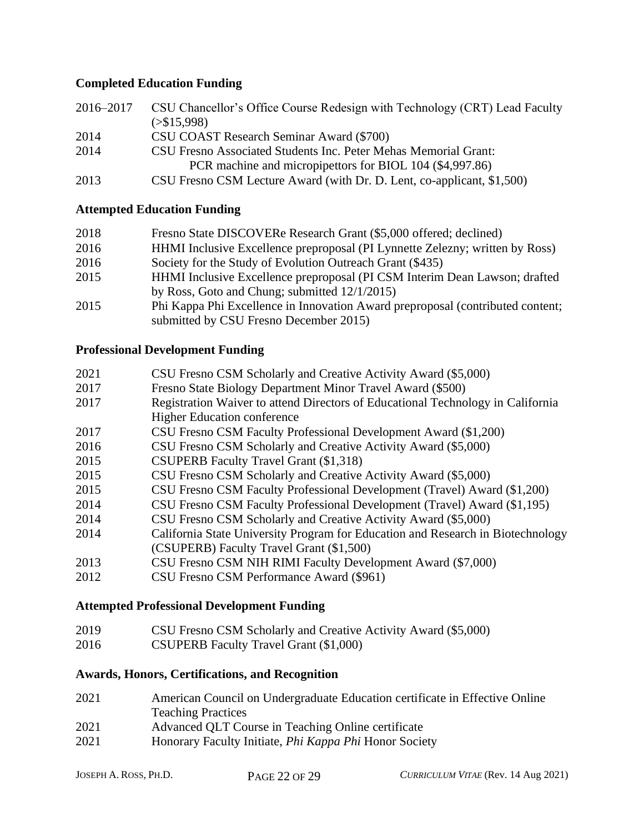### **Completed Education Funding**

| 2016–2017 | CSU Chancellor's Office Course Redesign with Technology (CRT) Lead Faculty |
|-----------|----------------------------------------------------------------------------|
|           | $(>\$15,998)$                                                              |
| 2014      | CSU COAST Research Seminar Award (\$700)                                   |
| 2014      | CSU Fresno Associated Students Inc. Peter Mehas Memorial Grant:            |
|           | PCR machine and micropipettors for BIOL 104 (\$4,997.86)                   |
| 2013      | CSU Fresno CSM Lecture Award (with Dr. D. Lent, co-applicant, \$1,500)     |
|           |                                                                            |

### **Attempted Education Funding**

| 2018 | Fresno State DISCOVERe Research Grant (\$5,000 offered; declined)              |
|------|--------------------------------------------------------------------------------|
| 2016 | HHMI Inclusive Excellence preproposal (PI Lynnette Zelezny; written by Ross)   |
| 2016 | Society for the Study of Evolution Outreach Grant (\$435)                      |
| 2015 | HHMI Inclusive Excellence preproposal (PI CSM Interim Dean Lawson; drafted     |
|      | by Ross, Goto and Chung; submitted $12/1/2015$ )                               |
| 2015 | Phi Kappa Phi Excellence in Innovation Award preproposal (contributed content; |
|      | submitted by CSU Fresno December 2015)                                         |

### **Professional Development Funding**

| 2021 | CSU Fresno CSM Scholarly and Creative Activity Award (\$5,000) |
|------|----------------------------------------------------------------|
|------|----------------------------------------------------------------|

- Fresno State Biology Department Minor Travel Award (\$500)
- Registration Waiver to attend Directors of Educational Technology in California Higher Education conference
- CSU Fresno CSM Faculty Professional Development Award (\$1,200)
- CSU Fresno CSM Scholarly and Creative Activity Award (\$5,000)
- CSUPERB Faculty Travel Grant (\$1,318)
- CSU Fresno CSM Scholarly and Creative Activity Award (\$5,000)
- CSU Fresno CSM Faculty Professional Development (Travel) Award (\$1,200)
- CSU Fresno CSM Faculty Professional Development (Travel) Award (\$1,195)
- CSU Fresno CSM Scholarly and Creative Activity Award (\$5,000)
- California State University Program for Education and Research in Biotechnology (CSUPERB) Faculty Travel Grant (\$1,500)
- CSU Fresno CSM NIH RIMI Faculty Development Award (\$7,000)
- CSU Fresno CSM Performance Award (\$961)

### **Attempted Professional Development Funding**

- CSU Fresno CSM Scholarly and Creative Activity Award (\$5,000)
- CSUPERB Faculty Travel Grant (\$1,000)

### **Awards, Honors, Certifications, and Recognition**

| 2021                        | American Council on Undergraduate Education certificate in Effective Online |
|-----------------------------|-----------------------------------------------------------------------------|
|                             | <b>Teaching Practices</b>                                                   |
| $\sim$ $\sim$ $\sim$ $\sim$ | $1.07 \text{ m}$                                                            |

- Advanced QLT Course in Teaching Online certificate
- Honorary Faculty Initiate, *Phi Kappa Phi* Honor Society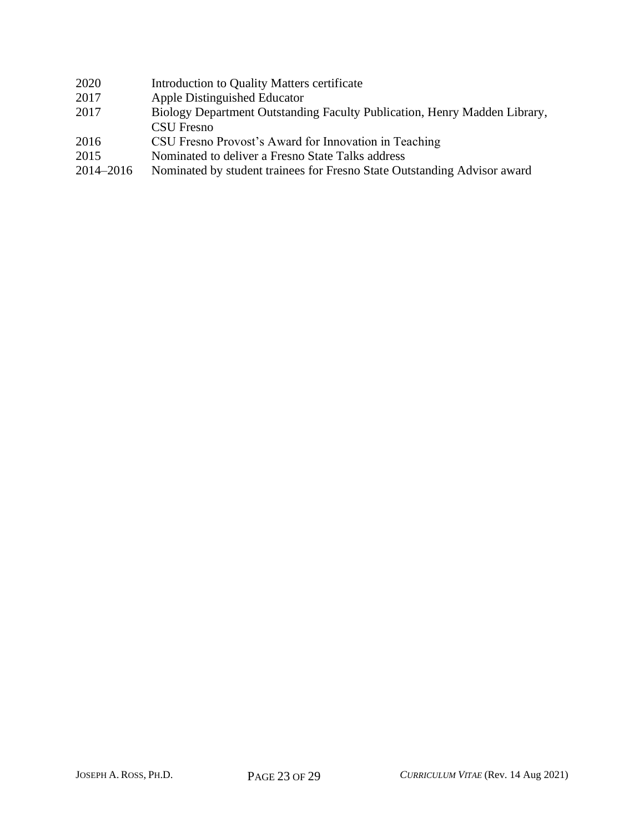| 2020      | Introduction to Quality Matters certificate                               |
|-----------|---------------------------------------------------------------------------|
| 2017      | Apple Distinguished Educator                                              |
| 2017      | Biology Department Outstanding Faculty Publication, Henry Madden Library, |
|           | <b>CSU</b> Fresno                                                         |
| 2016      | CSU Fresno Provost's Award for Innovation in Teaching                     |
| 2015      | Nominated to deliver a Fresno State Talks address                         |
| 2014-2016 | Nominated by student trainees for Fresno State Outstanding Advisor award  |
|           |                                                                           |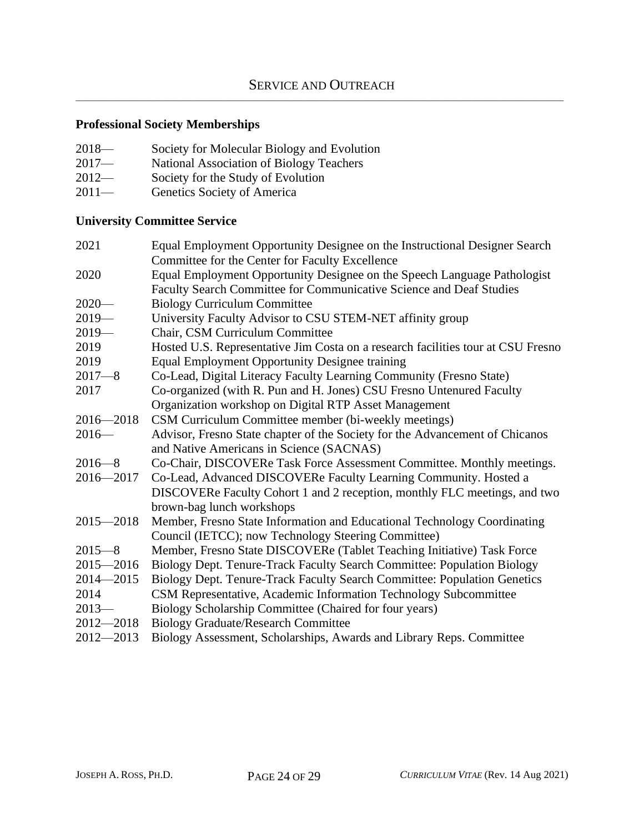### **Professional Society Memberships**

| $2018-$<br>Society for Molecular Biology and Evolution |
|--------------------------------------------------------|
|--------------------------------------------------------|

- 2017— National Association of Biology Teachers
- 2012— Society for the Study of Evolution<br>2011— Genetics Society of America
- Genetics Society of America

### **University Committee Service**

| 2021          | Equal Employment Opportunity Designee on the Instructional Designer Search       |
|---------------|----------------------------------------------------------------------------------|
|               | Committee for the Center for Faculty Excellence                                  |
| 2020          | Equal Employment Opportunity Designee on the Speech Language Pathologist         |
|               | Faculty Search Committee for Communicative Science and Deaf Studies              |
| $2020-$       | <b>Biology Curriculum Committee</b>                                              |
| $2019-$       | University Faculty Advisor to CSU STEM-NET affinity group                        |
| $2019-$       | Chair, CSM Curriculum Committee                                                  |
| 2019          | Hosted U.S. Representative Jim Costa on a research facilities tour at CSU Fresno |
| 2019          | <b>Equal Employment Opportunity Designee training</b>                            |
| $2017 - 8$    | Co-Lead, Digital Literacy Faculty Learning Community (Fresno State)              |
| 2017          | Co-organized (with R. Pun and H. Jones) CSU Fresno Untenured Faculty             |
|               | Organization workshop on Digital RTP Asset Management                            |
| $2016 - 2018$ | CSM Curriculum Committee member (bi-weekly meetings)                             |
| $2016-$       | Advisor, Fresno State chapter of the Society for the Advancement of Chicanos     |
|               | and Native Americans in Science (SACNAS)                                         |
| $2016 - 8$    | Co-Chair, DISCOVERe Task Force Assessment Committee. Monthly meetings.           |
| $2016 - 2017$ | Co-Lead, Advanced DISCOVERe Faculty Learning Community. Hosted a                 |
|               | DISCOVERe Faculty Cohort 1 and 2 reception, monthly FLC meetings, and two        |
|               | brown-bag lunch workshops                                                        |
| $2015 - 2018$ | Member, Fresno State Information and Educational Technology Coordinating         |
|               | Council (IETCC); now Technology Steering Committee)                              |
| $2015 - 8$    | Member, Fresno State DISCOVERe (Tablet Teaching Initiative) Task Force           |
| $2015 - 2016$ | Biology Dept. Tenure-Track Faculty Search Committee: Population Biology          |
| $2014 - 2015$ | Biology Dept. Tenure-Track Faculty Search Committee: Population Genetics         |
| 2014          | CSM Representative, Academic Information Technology Subcommittee                 |
| $2013-$       | Biology Scholarship Committee (Chaired for four years)                           |
| $2012 - 2018$ | <b>Biology Graduate/Research Committee</b>                                       |
| $2012 - 2013$ | Biology Assessment, Scholarships, Awards and Library Reps. Committee             |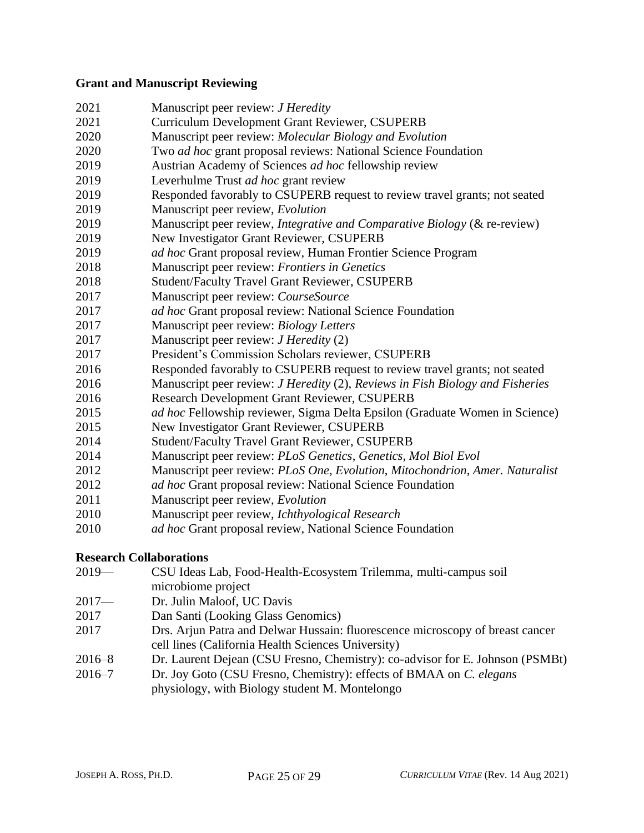#### **Grant and Manuscript Reviewing**

 Manuscript peer review: *J Heredity* Curriculum Development Grant Reviewer, CSUPERB Manuscript peer review: *Molecular Biology and Evolution* Two *ad hoc* grant proposal reviews: National Science Foundation Austrian Academy of Sciences *ad hoc* fellowship review Leverhulme Trust *ad hoc* grant review Responded favorably to CSUPERB request to review travel grants; not seated Manuscript peer review, *Evolution* Manuscript peer review, *Integrative and Comparative Biology* (& re-review) New Investigator Grant Reviewer, CSUPERB *ad hoc* Grant proposal review, Human Frontier Science Program Manuscript peer review: *Frontiers in Genetics* Student/Faculty Travel Grant Reviewer, CSUPERB Manuscript peer review: *CourseSource ad hoc* Grant proposal review: National Science Foundation Manuscript peer review: *Biology Letters* Manuscript peer review: *J Heredity* (2) President's Commission Scholars reviewer, CSUPERB Responded favorably to CSUPERB request to review travel grants; not seated Manuscript peer review: *J Heredity* (2), *Reviews in Fish Biology and Fisheries* Research Development Grant Reviewer, CSUPERB *ad hoc* Fellowship reviewer, Sigma Delta Epsilon (Graduate Women in Science) New Investigator Grant Reviewer, CSUPERB Student/Faculty Travel Grant Reviewer, CSUPERB Manuscript peer review: *PLoS Genetics*, *Genetics, Mol Biol Evol* Manuscript peer review: *PLoS One, Evolution*, *Mitochondrion*, *Amer. Naturalist ad hoc* Grant proposal review: National Science Foundation Manuscript peer review, *Evolution* Manuscript peer review, *Ichthyological Research ad hoc* Grant proposal review, National Science Foundation

### **Research Collaborations**

- 2019— CSU Ideas Lab, Food-Health-Ecosystem Trilemma, multi-campus soil microbiome project
- 2017— Dr. Julin Maloof, UC Davis
- Dan Santi (Looking Glass Genomics)
- Drs. Arjun Patra and Delwar Hussain: fluorescence microscopy of breast cancer cell lines (California Health Sciences University)
- 2016–8 Dr. Laurent Dejean (CSU Fresno, Chemistry): co-advisor for E. Johnson (PSMBt)
- 2016–7 Dr. Joy Goto (CSU Fresno, Chemistry): effects of BMAA on *C. elegans* physiology, with Biology student M. Montelongo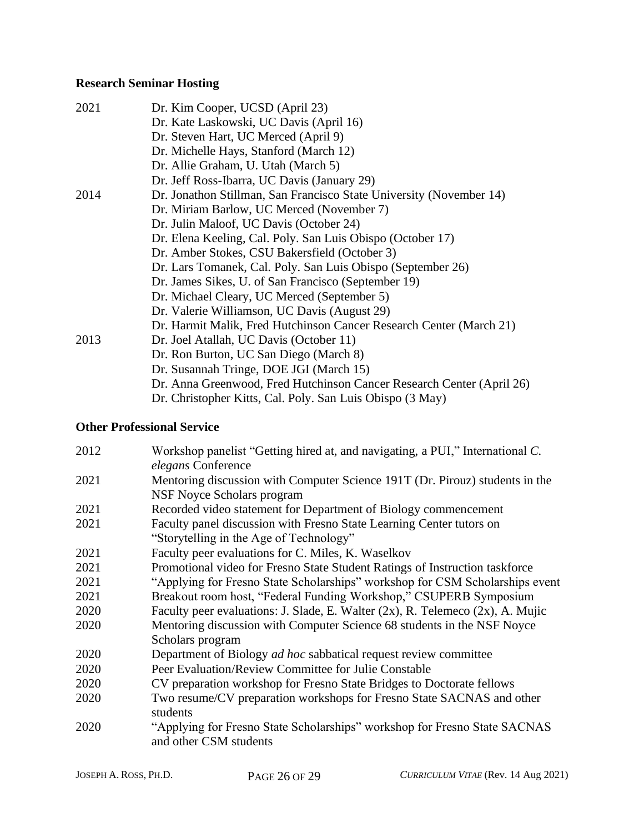# **Research Seminar Hosting**

| 2021 | Dr. Kim Cooper, UCSD (April 23)                                       |
|------|-----------------------------------------------------------------------|
|      | Dr. Kate Laskowski, UC Davis (April 16)                               |
|      | Dr. Steven Hart, UC Merced (April 9)                                  |
|      | Dr. Michelle Hays, Stanford (March 12)                                |
|      | Dr. Allie Graham, U. Utah (March 5)                                   |
|      | Dr. Jeff Ross-Ibarra, UC Davis (January 29)                           |
| 2014 | Dr. Jonathon Stillman, San Francisco State University (November 14)   |
|      | Dr. Miriam Barlow, UC Merced (November 7)                             |
|      | Dr. Julin Maloof, UC Davis (October 24)                               |
|      | Dr. Elena Keeling, Cal. Poly. San Luis Obispo (October 17)            |
|      | Dr. Amber Stokes, CSU Bakersfield (October 3)                         |
|      | Dr. Lars Tomanek, Cal. Poly. San Luis Obispo (September 26)           |
|      | Dr. James Sikes, U. of San Francisco (September 19)                   |
|      | Dr. Michael Cleary, UC Merced (September 5)                           |
|      | Dr. Valerie Williamson, UC Davis (August 29)                          |
|      | Dr. Harmit Malik, Fred Hutchinson Cancer Research Center (March 21)   |
| 2013 | Dr. Joel Atallah, UC Davis (October 11)                               |
|      | Dr. Ron Burton, UC San Diego (March 8)                                |
|      | Dr. Susannah Tringe, DOE JGI (March 15)                               |
|      | Dr. Anna Greenwood, Fred Hutchinson Cancer Research Center (April 26) |
|      | Dr. Christopher Kitts, Cal. Poly. San Luis Obispo (3 May)             |

### **Other Professional Service**

| 2012 | Workshop panelist "Getting hired at, and navigating, a PUI," International C.        |
|------|--------------------------------------------------------------------------------------|
|      | elegans Conference                                                                   |
| 2021 | Mentoring discussion with Computer Science 191T (Dr. Pirouz) students in the         |
|      | <b>NSF Noyce Scholars program</b>                                                    |
| 2021 | Recorded video statement for Department of Biology commencement                      |
| 2021 | Faculty panel discussion with Fresno State Learning Center tutors on                 |
|      | "Storytelling in the Age of Technology"                                              |
| 2021 | Faculty peer evaluations for C. Miles, K. Waselkov                                   |
| 2021 | Promotional video for Fresno State Student Ratings of Instruction taskforce          |
| 2021 | "Applying for Fresno State Scholarships" workshop for CSM Scholarships event         |
| 2021 | Breakout room host, "Federal Funding Workshop," CSUPERB Symposium                    |
| 2020 | Faculty peer evaluations: J. Slade, E. Walter $(2x)$ , R. Telemeco $(2x)$ , A. Mujic |
| 2020 | Mentoring discussion with Computer Science 68 students in the NSF Noyce              |
|      | Scholars program                                                                     |
| 2020 | Department of Biology <i>ad hoc</i> sabbatical request review committee              |
| 2020 | Peer Evaluation/Review Committee for Julie Constable                                 |
| 2020 | CV preparation workshop for Fresno State Bridges to Doctorate fellows                |
| 2020 | Two resume/CV preparation workshops for Fresno State SACNAS and other                |
|      | students                                                                             |
| 2020 | "Applying for Fresno State Scholarships" workshop for Fresno State SACNAS            |
|      | and other CSM students                                                               |
|      |                                                                                      |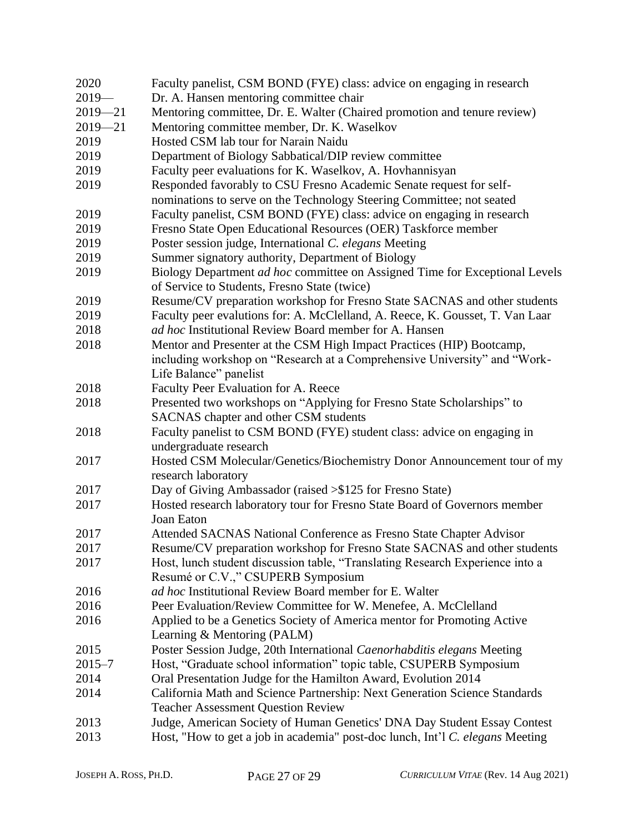| 2020        | Faculty panelist, CSM BOND (FYE) class: advice on engaging in research        |
|-------------|-------------------------------------------------------------------------------|
| $2019-$     | Dr. A. Hansen mentoring committee chair                                       |
| $2019 - 21$ | Mentoring committee, Dr. E. Walter (Chaired promotion and tenure review)      |
| $2019 - 21$ | Mentoring committee member, Dr. K. Waselkov                                   |
| 2019        | Hosted CSM lab tour for Narain Naidu                                          |
| 2019        | Department of Biology Sabbatical/DIP review committee                         |
| 2019        | Faculty peer evaluations for K. Waselkov, A. Hovhannisyan                     |
| 2019        | Responded favorably to CSU Fresno Academic Senate request for self-           |
|             | nominations to serve on the Technology Steering Committee; not seated         |
| 2019        | Faculty panelist, CSM BOND (FYE) class: advice on engaging in research        |
| 2019        | Fresno State Open Educational Resources (OER) Taskforce member                |
| 2019        | Poster session judge, International C. elegans Meeting                        |
| 2019        | Summer signatory authority, Department of Biology                             |
| 2019        | Biology Department ad hoc committee on Assigned Time for Exceptional Levels   |
|             | of Service to Students, Fresno State (twice)                                  |
| 2019        | Resume/CV preparation workshop for Fresno State SACNAS and other students     |
| 2019        | Faculty peer evalutions for: A. McClelland, A. Reece, K. Gousset, T. Van Laar |
| 2018        | <i>ad hoc</i> Institutional Review Board member for A. Hansen                 |
| 2018        | Mentor and Presenter at the CSM High Impact Practices (HIP) Bootcamp,         |
|             | including workshop on "Research at a Comprehensive University" and "Work-     |
|             | Life Balance" panelist                                                        |
| 2018        | Faculty Peer Evaluation for A. Reece                                          |
| 2018        | Presented two workshops on "Applying for Fresno State Scholarships" to        |
|             | SACNAS chapter and other CSM students                                         |
| 2018        | Faculty panelist to CSM BOND (FYE) student class: advice on engaging in       |
|             | undergraduate research                                                        |
| 2017        | Hosted CSM Molecular/Genetics/Biochemistry Donor Announcement tour of my      |
|             | research laboratory                                                           |
| 2017        | Day of Giving Ambassador (raised >\$125 for Fresno State)                     |
| 2017        | Hosted research laboratory tour for Fresno State Board of Governors member    |
|             | Joan Eaton                                                                    |
| 2017        | Attended SACNAS National Conference as Fresno State Chapter Advisor           |
| 2017        | Resume/CV preparation workshop for Fresno State SACNAS and other students     |
| 2017        | Host, lunch student discussion table, "Translating Research Experience into a |
|             | Resumé or C.V.," CSUPERB Symposium                                            |
| 2016        | ad hoc Institutional Review Board member for E. Walter                        |
| 2016        | Peer Evaluation/Review Committee for W. Menefee, A. McClelland                |
| 2016        | Applied to be a Genetics Society of America mentor for Promoting Active       |
|             | Learning & Mentoring (PALM)                                                   |
| 2015        | Poster Session Judge, 20th International Caenorhabditis elegans Meeting       |
| $2015 - 7$  | Host, "Graduate school information" topic table, CSUPERB Symposium            |
| 2014        | Oral Presentation Judge for the Hamilton Award, Evolution 2014                |
| 2014        | California Math and Science Partnership: Next Generation Science Standards    |
|             | <b>Teacher Assessment Question Review</b>                                     |
| 2013        | Judge, American Society of Human Genetics' DNA Day Student Essay Contest      |
| 2013        | Host, "How to get a job in academia" post-doc lunch, Int'l C. elegans Meeting |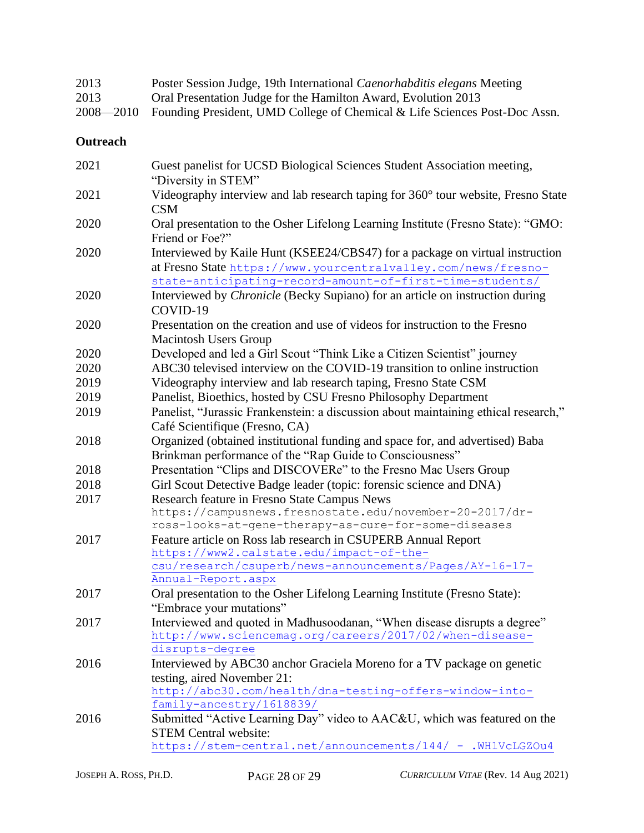| 2013 | Poster Session Judge, 19th International Caenorhabditis elegans Meeting              |
|------|--------------------------------------------------------------------------------------|
| 2013 | Oral Presentation Judge for the Hamilton Award, Evolution 2013                       |
|      | 2008—2010 Founding President, UMD College of Chemical & Life Sciences Post-Doc Assn. |

## **Outreach**

| 2021 | Guest panelist for UCSD Biological Sciences Student Association meeting,<br>"Diversity in STEM"                                                                                                             |
|------|-------------------------------------------------------------------------------------------------------------------------------------------------------------------------------------------------------------|
| 2021 | Videography interview and lab research taping for 360° tour website, Fresno State<br><b>CSM</b>                                                                                                             |
| 2020 | Oral presentation to the Osher Lifelong Learning Institute (Fresno State): "GMO:<br>Friend or Foe?"                                                                                                         |
| 2020 | Interviewed by Kaile Hunt (KSEE24/CBS47) for a package on virtual instruction<br>at Fresno State https://www.yourcentralvalley.com/news/fresno-<br>state-anticipating-record-amount-of-first-time-students/ |
| 2020 | Interviewed by <i>Chronicle</i> (Becky Supiano) for an article on instruction during<br>COVID-19                                                                                                            |
| 2020 | Presentation on the creation and use of videos for instruction to the Fresno<br>Macintosh Users Group                                                                                                       |
| 2020 | Developed and led a Girl Scout "Think Like a Citizen Scientist" journey                                                                                                                                     |
| 2020 | ABC30 televised interview on the COVID-19 transition to online instruction                                                                                                                                  |
| 2019 | Videography interview and lab research taping, Fresno State CSM                                                                                                                                             |
| 2019 | Panelist, Bioethics, hosted by CSU Fresno Philosophy Department                                                                                                                                             |
| 2019 | Panelist, "Jurassic Frankenstein: a discussion about maintaining ethical research,"<br>Café Scientifique (Fresno, CA)                                                                                       |
| 2018 | Organized (obtained institutional funding and space for, and advertised) Baba<br>Brinkman performance of the "Rap Guide to Consciousness"                                                                   |
| 2018 | Presentation "Clips and DISCOVERe" to the Fresno Mac Users Group                                                                                                                                            |
| 2018 | Girl Scout Detective Badge leader (topic: forensic science and DNA)                                                                                                                                         |
| 2017 | Research feature in Fresno State Campus News                                                                                                                                                                |
|      | https://campusnews.fresnostate.edu/november-20-2017/dr-<br>ross-looks-at-gene-therapy-as-cure-for-some-diseases                                                                                             |
| 2017 | Feature article on Ross lab research in CSUPERB Annual Report                                                                                                                                               |
|      | https://www2.calstate.edu/impact-of-the-                                                                                                                                                                    |
|      | csu/research/csuperb/news-announcements/Pages/AY-16-17-                                                                                                                                                     |
|      | Annual-Report.aspx                                                                                                                                                                                          |
| 2017 | Oral presentation to the Osher Lifelong Learning Institute (Fresno State):                                                                                                                                  |
|      | "Embrace your mutations"                                                                                                                                                                                    |
| 2017 | Interviewed and quoted in Madhusoodanan, "When disease disrupts a degree"<br>http://www.sciencemag.org/careers/2017/02/when-disease-                                                                        |
|      | disrupts-degree                                                                                                                                                                                             |
| 2016 | Interviewed by ABC30 anchor Graciela Moreno for a TV package on genetic                                                                                                                                     |
|      | testing, aired November 21:                                                                                                                                                                                 |
|      | http://abc30.com/health/dna-testing-offers-window-into-                                                                                                                                                     |
|      | family-ancestry/1618839/                                                                                                                                                                                    |
| 2016 | Submitted "Active Learning Day" video to AAC&U, which was featured on the                                                                                                                                   |
|      | <b>STEM Central website:</b>                                                                                                                                                                                |
|      | https://stem-central.net/announcements/144/ - .WH1VcLGZOu4                                                                                                                                                  |